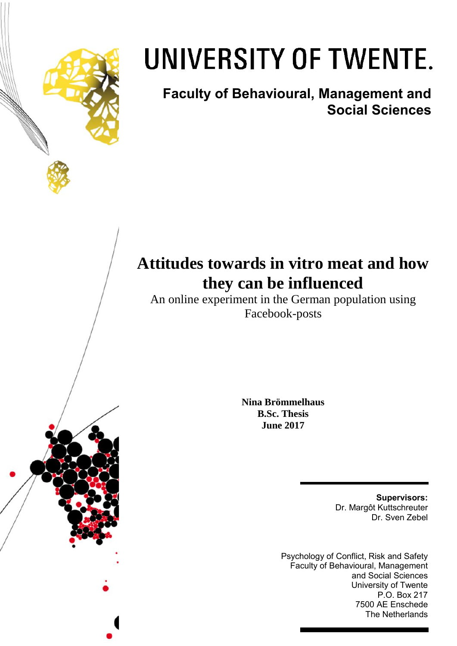

# UNIVERSITY OF TWENTE.

**Faculty of Behavioural, Management and Social Sciences**

# **Attitudes towards in vitro meat and how they can be influenced**

An online experiment in the German population using Facebook-posts

> **Nina Brömmelhaus B.Sc. Thesis June 2017**

> > **Supervisors:** Dr. Margôt Kuttschreuter Dr. Sven Zebel

Psychology of Conflict, Risk and Safety Faculty of Behavioural, Management and Social Sciences University of Twente P.O. Box 217 7500 AE Enschede The Netherlands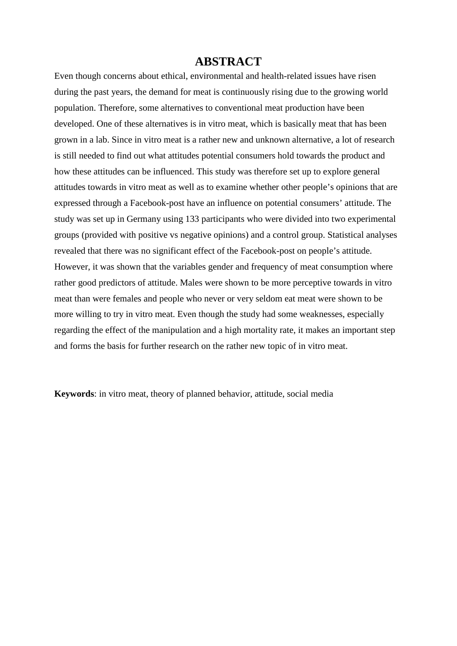# **ABSTRACT**

Even though concerns about ethical, environmental and health-related issues have risen during the past years, the demand for meat is continuously rising due to the growing world population. Therefore, some alternatives to conventional meat production have been developed. One of these alternatives is in vitro meat, which is basically meat that has been grown in a lab. Since in vitro meat is a rather new and unknown alternative, a lot of research is still needed to find out what attitudes potential consumers hold towards the product and how these attitudes can be influenced. This study was therefore set up to explore general attitudes towards in vitro meat as well as to examine whether other people's opinions that are expressed through a Facebook-post have an influence on potential consumers' attitude. The study was set up in Germany using 133 participants who were divided into two experimental groups (provided with positive vs negative opinions) and a control group. Statistical analyses revealed that there was no significant effect of the Facebook-post on people's attitude. However, it was shown that the variables gender and frequency of meat consumption where rather good predictors of attitude. Males were shown to be more perceptive towards in vitro meat than were females and people who never or very seldom eat meat were shown to be more willing to try in vitro meat. Even though the study had some weaknesses, especially regarding the effect of the manipulation and a high mortality rate, it makes an important step and forms the basis for further research on the rather new topic of in vitro meat.

**Keywords**: in vitro meat, theory of planned behavior, attitude, social media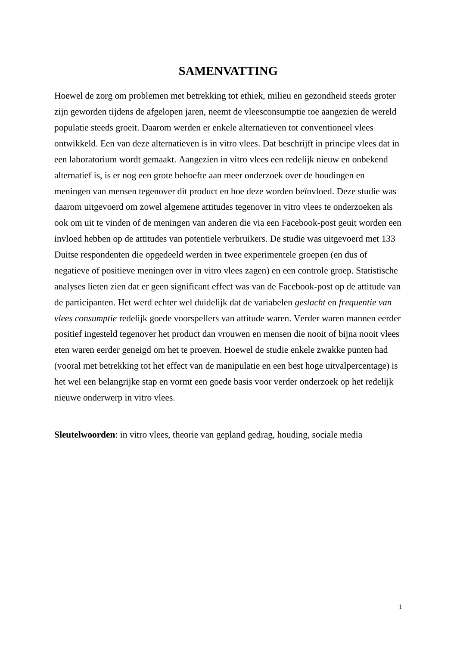# **SAMENVATTING**

Hoewel de zorg om problemen met betrekking tot ethiek, milieu en gezondheid steeds groter zijn geworden tijdens de afgelopen jaren, neemt de vleesconsumptie toe aangezien de wereld populatie steeds groeit. Daarom werden er enkele alternatieven tot conventioneel vlees ontwikkeld. Een van deze alternatieven is in vitro vlees. Dat beschrijft in principe vlees dat in een laboratorium wordt gemaakt. Aangezien in vitro vlees een redelijk nieuw en onbekend alternatief is, is er nog een grote behoefte aan meer onderzoek over de houdingen en meningen van mensen tegenover dit product en hoe deze worden beïnvloed. Deze studie was daarom uitgevoerd om zowel algemene attitudes tegenover in vitro vlees te onderzoeken als ook om uit te vinden of de meningen van anderen die via een Facebook-post geuit worden een invloed hebben op de attitudes van potentiele verbruikers. De studie was uitgevoerd met 133 Duitse respondenten die opgedeeld werden in twee experimentele groepen (en dus of negatieve of positieve meningen over in vitro vlees zagen) en een controle groep. Statistische analyses lieten zien dat er geen significant effect was van de Facebook-post op de attitude van de participanten. Het werd echter wel duidelijk dat de variabelen *geslacht* en *frequentie van vlees consumptie* redelijk goede voorspellers van attitude waren. Verder waren mannen eerder positief ingesteld tegenover het product dan vrouwen en mensen die nooit of bijna nooit vlees eten waren eerder geneigd om het te proeven. Hoewel de studie enkele zwakke punten had (vooral met betrekking tot het effect van de manipulatie en een best hoge uitvalpercentage) is het wel een belangrijke stap en vormt een goede basis voor verder onderzoek op het redelijk nieuwe onderwerp in vitro vlees.

**Sleutelwoorden**: in vitro vlees, theorie van gepland gedrag, houding, sociale media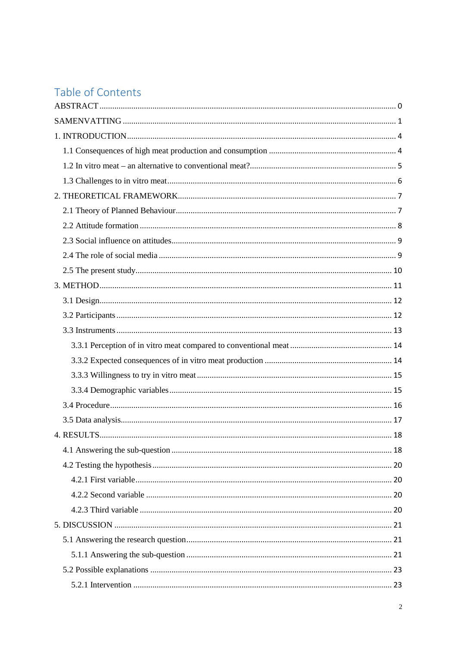# Table of Contents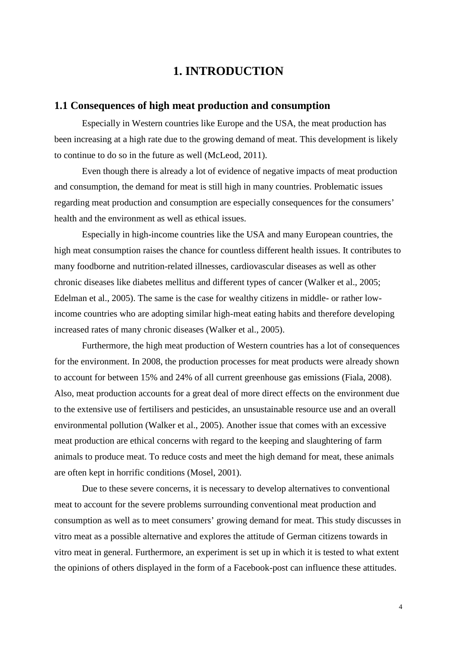# **1. INTRODUCTION**

#### **1.1 Consequences of high meat production and consumption**

Especially in Western countries like Europe and the USA, the meat production has been increasing at a high rate due to the growing demand of meat. This development is likely to continue to do so in the future as well (McLeod, 2011).

Even though there is already a lot of evidence of negative impacts of meat production and consumption, the demand for meat is still high in many countries. Problematic issues regarding meat production and consumption are especially consequences for the consumers' health and the environment as well as ethical issues.

Especially in high-income countries like the USA and many European countries, the high meat consumption raises the chance for countless different health issues. It contributes to many foodborne and nutrition-related illnesses, cardiovascular diseases as well as other chronic diseases like diabetes mellitus and different types of cancer (Walker et al., 2005; Edelman et al., 2005). The same is the case for wealthy citizens in middle- or rather lowincome countries who are adopting similar high-meat eating habits and therefore developing increased rates of many chronic diseases (Walker et al., 2005).

Furthermore, the high meat production of Western countries has a lot of consequences for the environment. In 2008, the production processes for meat products were already shown to account for between 15% and 24% of all current greenhouse gas emissions (Fiala, 2008). Also, meat production accounts for a great deal of more direct effects on the environment due to the extensive use of fertilisers and pesticides, an unsustainable resource use and an overall environmental pollution (Walker et al., 2005). Another issue that comes with an excessive meat production are ethical concerns with regard to the keeping and slaughtering of farm animals to produce meat. To reduce costs and meet the high demand for meat, these animals are often kept in horrific conditions (Mosel, 2001).

Due to these severe concerns, it is necessary to develop alternatives to conventional meat to account for the severe problems surrounding conventional meat production and consumption as well as to meet consumers' growing demand for meat. This study discusses in vitro meat as a possible alternative and explores the attitude of German citizens towards in vitro meat in general. Furthermore, an experiment is set up in which it is tested to what extent the opinions of others displayed in the form of a Facebook-post can influence these attitudes.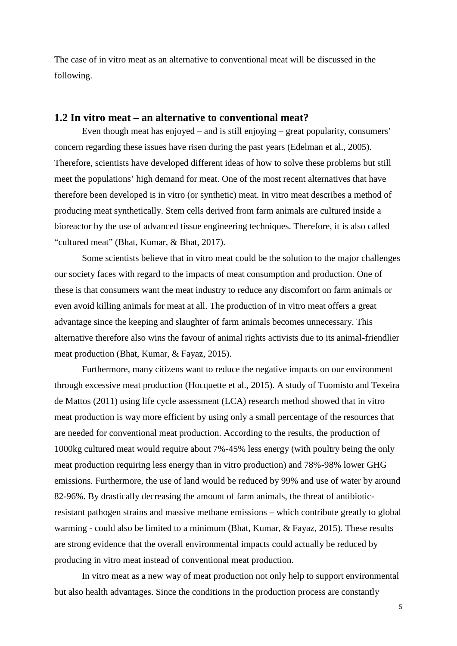The case of in vitro meat as an alternative to conventional meat will be discussed in the following.

#### **1.2 In vitro meat – an alternative to conventional meat?**

Even though meat has enjoyed – and is still enjoying – great popularity, consumers' concern regarding these issues have risen during the past years (Edelman et al., 2005). Therefore, scientists have developed different ideas of how to solve these problems but still meet the populations' high demand for meat. One of the most recent alternatives that have therefore been developed is in vitro (or synthetic) meat. In vitro meat describes a method of producing meat synthetically. Stem cells derived from farm animals are cultured inside a bioreactor by the use of advanced tissue engineering techniques. Therefore, it is also called "cultured meat" (Bhat, Kumar, & Bhat, 2017).

Some scientists believe that in vitro meat could be the solution to the major challenges our society faces with regard to the impacts of meat consumption and production. One of these is that consumers want the meat industry to reduce any discomfort on farm animals or even avoid killing animals for meat at all. The production of in vitro meat offers a great advantage since the keeping and slaughter of farm animals becomes unnecessary. This alternative therefore also wins the favour of animal rights activists due to its animal-friendlier meat production (Bhat, Kumar, & Fayaz, 2015).

Furthermore, many citizens want to reduce the negative impacts on our environment through excessive meat production (Hocquette et al., 2015). A study of Tuomisto and Texeira de Mattos (2011) using life cycle assessment (LCA) research method showed that in vitro meat production is way more efficient by using only a small percentage of the resources that are needed for conventional meat production. According to the results, the production of 1000kg cultured meat would require about 7%-45% less energy (with poultry being the only meat production requiring less energy than in vitro production) and 78%-98% lower GHG emissions. Furthermore, the use of land would be reduced by 99% and use of water by around 82-96%. By drastically decreasing the amount of farm animals, the threat of antibioticresistant pathogen strains and massive methane emissions – which contribute greatly to global warming - could also be limited to a minimum (Bhat, Kumar, & Fayaz, 2015). These results are strong evidence that the overall environmental impacts could actually be reduced by producing in vitro meat instead of conventional meat production.

In vitro meat as a new way of meat production not only help to support environmental but also health advantages. Since the conditions in the production process are constantly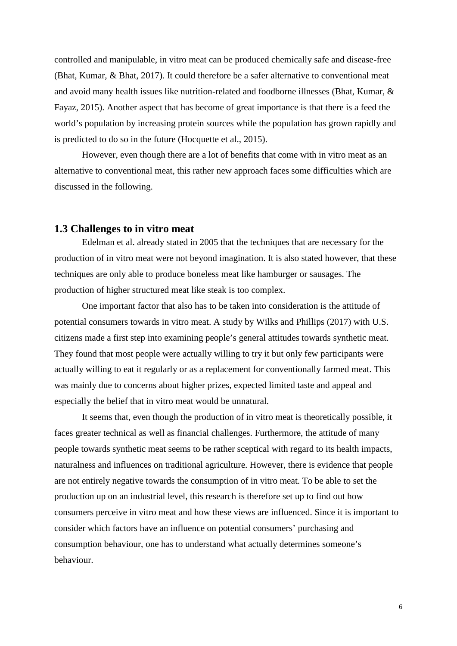controlled and manipulable, in vitro meat can be produced chemically safe and disease-free (Bhat, Kumar, & Bhat, 2017). It could therefore be a safer alternative to conventional meat and avoid many health issues like nutrition-related and foodborne illnesses (Bhat, Kumar, & Fayaz, 2015). Another aspect that has become of great importance is that there is a feed the world's population by increasing protein sources while the population has grown rapidly and is predicted to do so in the future (Hocquette et al., 2015).

However, even though there are a lot of benefits that come with in vitro meat as an alternative to conventional meat, this rather new approach faces some difficulties which are discussed in the following.

#### **1.3 Challenges to in vitro meat**

Edelman et al. already stated in 2005 that the techniques that are necessary for the production of in vitro meat were not beyond imagination. It is also stated however, that these techniques are only able to produce boneless meat like hamburger or sausages. The production of higher structured meat like steak is too complex.

One important factor that also has to be taken into consideration is the attitude of potential consumers towards in vitro meat. A study by Wilks and Phillips (2017) with U.S. citizens made a first step into examining people's general attitudes towards synthetic meat. They found that most people were actually willing to try it but only few participants were actually willing to eat it regularly or as a replacement for conventionally farmed meat. This was mainly due to concerns about higher prizes, expected limited taste and appeal and especially the belief that in vitro meat would be unnatural.

It seems that, even though the production of in vitro meat is theoretically possible, it faces greater technical as well as financial challenges. Furthermore, the attitude of many people towards synthetic meat seems to be rather sceptical with regard to its health impacts, naturalness and influences on traditional agriculture. However, there is evidence that people are not entirely negative towards the consumption of in vitro meat. To be able to set the production up on an industrial level, this research is therefore set up to find out how consumers perceive in vitro meat and how these views are influenced. Since it is important to consider which factors have an influence on potential consumers' purchasing and consumption behaviour, one has to understand what actually determines someone's behaviour.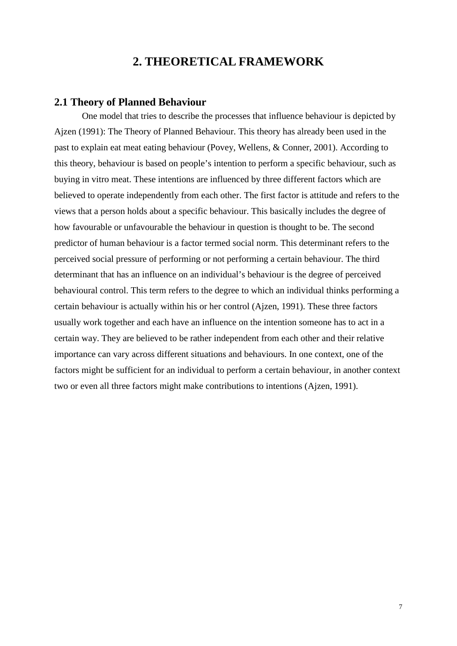# **2. THEORETICAL FRAMEWORK**

#### **2.1 Theory of Planned Behaviour**

One model that tries to describe the processes that influence behaviour is depicted by Ajzen (1991): The Theory of Planned Behaviour. This theory has already been used in the past to explain eat meat eating behaviour (Povey, Wellens, & Conner, 2001). According to this theory, behaviour is based on people's intention to perform a specific behaviour, such as buying in vitro meat. These intentions are influenced by three different factors which are believed to operate independently from each other. The first factor is attitude and refers to the views that a person holds about a specific behaviour. This basically includes the degree of how favourable or unfavourable the behaviour in question is thought to be. The second predictor of human behaviour is a factor termed social norm. This determinant refers to the perceived social pressure of performing or not performing a certain behaviour. The third determinant that has an influence on an individual's behaviour is the degree of perceived behavioural control. This term refers to the degree to which an individual thinks performing a certain behaviour is actually within his or her control (Ajzen, 1991). These three factors usually work together and each have an influence on the intention someone has to act in a certain way. They are believed to be rather independent from each other and their relative importance can vary across different situations and behaviours. In one context, one of the factors might be sufficient for an individual to perform a certain behaviour, in another context two or even all three factors might make contributions to intentions (Ajzen, 1991).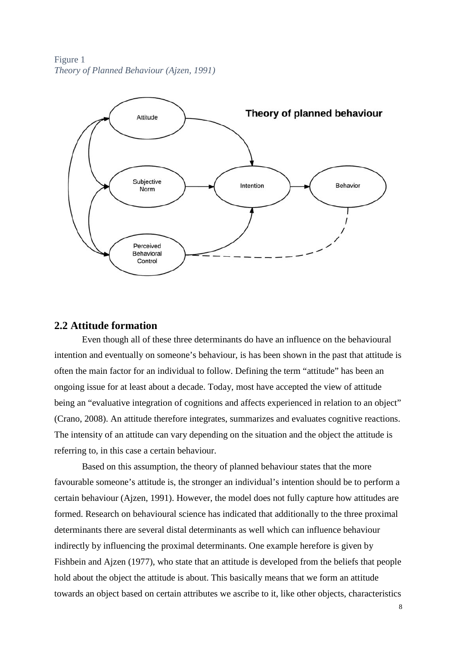Figure 1 *Theory of Planned Behaviour (Ajzen, 1991)*



#### **2.2 Attitude formation**

Even though all of these three determinants do have an influence on the behavioural intention and eventually on someone's behaviour, is has been shown in the past that attitude is often the main factor for an individual to follow. Defining the term "attitude" has been an ongoing issue for at least about a decade. Today, most have accepted the view of attitude being an "evaluative integration of cognitions and affects experienced in relation to an object" (Crano, 2008). An attitude therefore integrates, summarizes and evaluates cognitive reactions. The intensity of an attitude can vary depending on the situation and the object the attitude is referring to, in this case a certain behaviour.

Based on this assumption, the theory of planned behaviour states that the more favourable someone's attitude is, the stronger an individual's intention should be to perform a certain behaviour (Ajzen, 1991). However, the model does not fully capture how attitudes are formed. Research on behavioural science has indicated that additionally to the three proximal determinants there are several distal determinants as well which can influence behaviour indirectly by influencing the proximal determinants. One example herefore is given by Fishbein and Ajzen (1977), who state that an attitude is developed from the beliefs that people hold about the object the attitude is about. This basically means that we form an attitude towards an object based on certain attributes we ascribe to it, like other objects, characteristics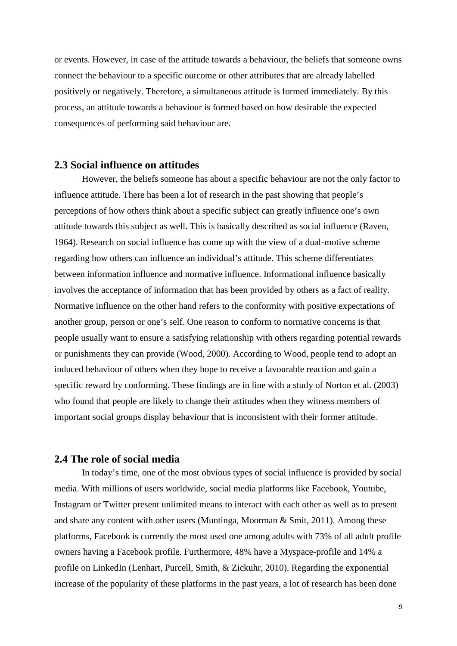or events. However, in case of the attitude towards a behaviour, the beliefs that someone owns connect the behaviour to a specific outcome or other attributes that are already labelled positively or negatively. Therefore, a simultaneous attitude is formed immediately. By this process, an attitude towards a behaviour is formed based on how desirable the expected consequences of performing said behaviour are.

#### **2.3 Social influence on attitudes**

However, the beliefs someone has about a specific behaviour are not the only factor to influence attitude. There has been a lot of research in the past showing that people's perceptions of how others think about a specific subject can greatly influence one's own attitude towards this subject as well. This is basically described as social influence (Raven, 1964). Research on social influence has come up with the view of a dual-motive scheme regarding how others can influence an individual's attitude. This scheme differentiates between information influence and normative influence. Informational influence basically involves the acceptance of information that has been provided by others as a fact of reality. Normative influence on the other hand refers to the conformity with positive expectations of another group, person or one's self. One reason to conform to normative concerns is that people usually want to ensure a satisfying relationship with others regarding potential rewards or punishments they can provide (Wood, 2000). According to Wood, people tend to adopt an induced behaviour of others when they hope to receive a favourable reaction and gain a specific reward by conforming. These findings are in line with a study of Norton et al. (2003) who found that people are likely to change their attitudes when they witness members of important social groups display behaviour that is inconsistent with their former attitude.

#### **2.4 The role of social media**

In today's time, one of the most obvious types of social influence is provided by social media. With millions of users worldwide, social media platforms like Facebook, Youtube, Instagram or Twitter present unlimited means to interact with each other as well as to present and share any content with other users (Muntinga, Moorman & Smit, 2011). Among these platforms, Facebook is currently the most used one among adults with 73% of all adult profile owners having a Facebook profile. Furthermore, 48% have a Myspace-profile and 14% a profile on LinkedIn (Lenhart, Purcell, Smith, & Zickuhr, 2010). Regarding the exponential increase of the popularity of these platforms in the past years, a lot of research has been done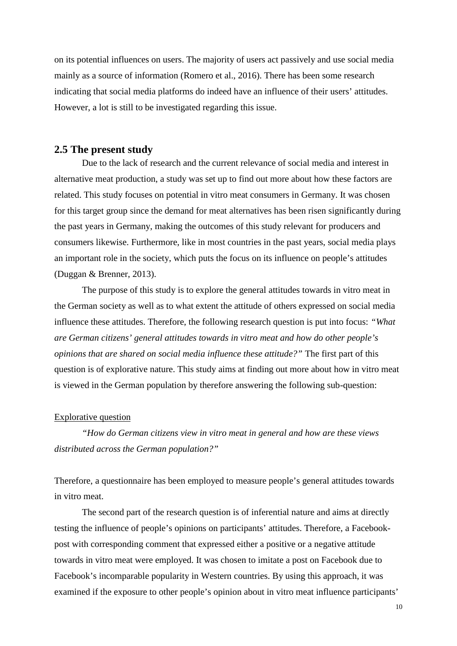on its potential influences on users. The majority of users act passively and use social media mainly as a source of information (Romero et al., 2016). There has been some research indicating that social media platforms do indeed have an influence of their users' attitudes. However, a lot is still to be investigated regarding this issue.

#### **2.5 The present study**

Due to the lack of research and the current relevance of social media and interest in alternative meat production, a study was set up to find out more about how these factors are related. This study focuses on potential in vitro meat consumers in Germany. It was chosen for this target group since the demand for meat alternatives has been risen significantly during the past years in Germany, making the outcomes of this study relevant for producers and consumers likewise. Furthermore, like in most countries in the past years, social media plays an important role in the society, which puts the focus on its influence on people's attitudes (Duggan & Brenner, 2013).

The purpose of this study is to explore the general attitudes towards in vitro meat in the German society as well as to what extent the attitude of others expressed on social media influence these attitudes. Therefore, the following research question is put into focus: *"What are German citizens' general attitudes towards in vitro meat and how do other people's opinions that are shared on social media influence these attitude?"* The first part of this question is of explorative nature. This study aims at finding out more about how in vitro meat is viewed in the German population by therefore answering the following sub-question:

#### Explorative question

*"How do German citizens view in vitro meat in general and how are these views distributed across the German population?"*

Therefore, a questionnaire has been employed to measure people's general attitudes towards in vitro meat.

The second part of the research question is of inferential nature and aims at directly testing the influence of people's opinions on participants' attitudes. Therefore, a Facebook post with corresponding comment that expressed either a positive or a negative attitude towards in vitro meat were employed. It was chosen to imitate a post on Facebook due to Facebook's incomparable popularity in Western countries. By using this approach, it was examined if the exposure to other people's opinion about in vitro meat influence participants'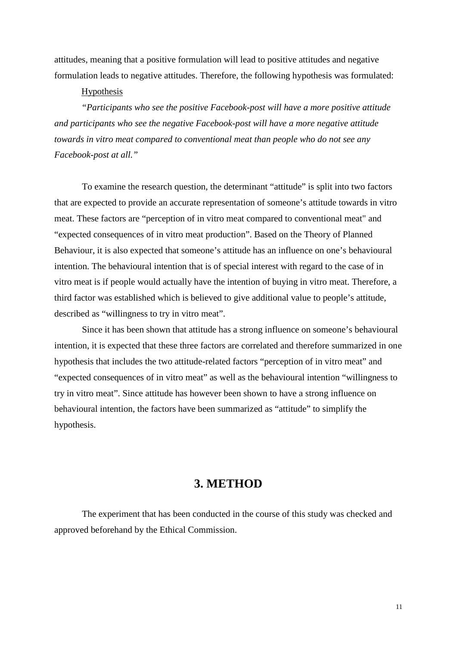attitudes, meaning that a positive formulation will lead to positive attitudes and negative formulation leads to negative attitudes. Therefore, the following hypothesis was formulated:

#### Hypothesis

*"Participants who see the positive Facebook-post will have a more positive attitude and participants who see the negative Facebook-post will have a more negative attitude towards in vitro meat compared to conventional meat than people who do not see any Facebook-post at all."*

To examine the research question, the determinant "attitude" is split into two factors that are expected to provide an accurate representation of someone's attitude towards in vitro meat. These factors are "perception of in vitro meat compared to conventional meat" and "expected consequences of in vitro meat production". Based on the Theory of Planned Behaviour, it is also expected that someone's attitude has an influence on one's behavioural intention. The behavioural intention that is of special interest with regard to the case of in vitro meat is if people would actually have the intention of buying in vitro meat. Therefore, a third factor was established which is believed to give additional value to people's attitude, described as "willingness to try in vitro meat".

Since it has been shown that attitude has a strong influence on someone's behavioural intention, it is expected that these three factors are correlated and therefore summarized in one hypothesis that includes the two attitude-related factors "perception of in vitro meat" and "expected consequences of in vitro meat" as well as the behavioural intention "willingness to try in vitro meat". Since attitude has however been shown to have a strong influence on behavioural intention, the factors have been summarized as "attitude" to simplify the hypothesis.

# **3. METHOD**

The experiment that has been conducted in the course of this study was checked and approved beforehand by the Ethical Commission.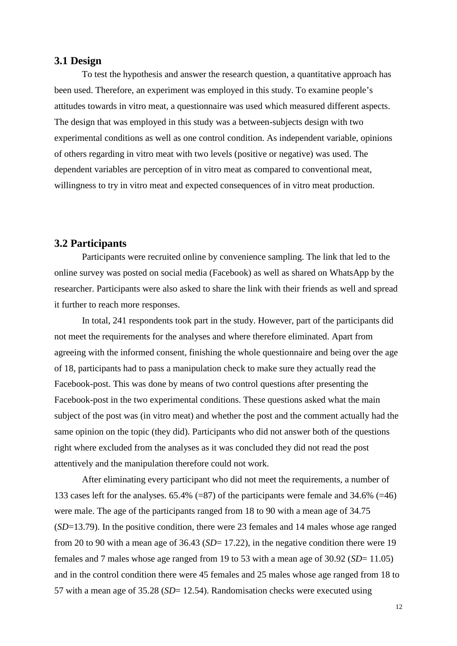#### **3.1 Design**

To test the hypothesis and answer the research question, a quantitative approach has been used. Therefore, an experiment was employed in this study. To examine people's attitudes towards in vitro meat, a questionnaire was used which measured different aspects. The design that was employed in this study was a between-subjects design with two experimental conditions as well as one control condition. As independent variable, opinions of others regarding in vitro meat with two levels (positive or negative) was used. The dependent variables are perception of in vitro meat as compared to conventional meat, willingness to try in vitro meat and expected consequences of in vitro meat production.

#### **3.2 Participants**

Participants were recruited online by convenience sampling. The link that led to the online survey was posted on social media (Facebook) as well as shared on WhatsApp by the researcher. Participants were also asked to share the link with their friends as well and spread it further to reach more responses.

In total, 241 respondents took part in the study. However, part of the participants did not meet the requirements for the analyses and where therefore eliminated. Apart from agreeing with the informed consent, finishing the whole questionnaire and being over the age of 18, participants had to pass a manipulation check to make sure they actually read the Facebook-post. This was done by means of two control questions after presenting the Facebook-post in the two experimental conditions. These questions asked what the main subject of the post was (in vitro meat) and whether the post and the comment actually had the same opinion on the topic (they did). Participants who did not answer both of the questions right where excluded from the analyses as it was concluded they did not read the post attentively and the manipulation therefore could not work.

After eliminating every participant who did not meet the requirements, a number of 133 cases left for the analyses.  $65.4\%$  (=87) of the participants were female and 34.6% (=46) were male. The age of the participants ranged from 18 to 90 with a mean age of 34.75 (*SD*=13.79). In the positive condition, there were 23 females and 14 males whose age ranged from 20 to 90 with a mean age of 36.43 (*SD*= 17.22), in the negative condition there were 19 females and 7 males whose age ranged from 19 to 53 with a mean age of 30.92 (*SD*= 11.05) and in the control condition there were 45 females and 25 males whose age ranged from 18 to 57 with a mean age of 35.28 (*SD*= 12.54). Randomisation checks were executed using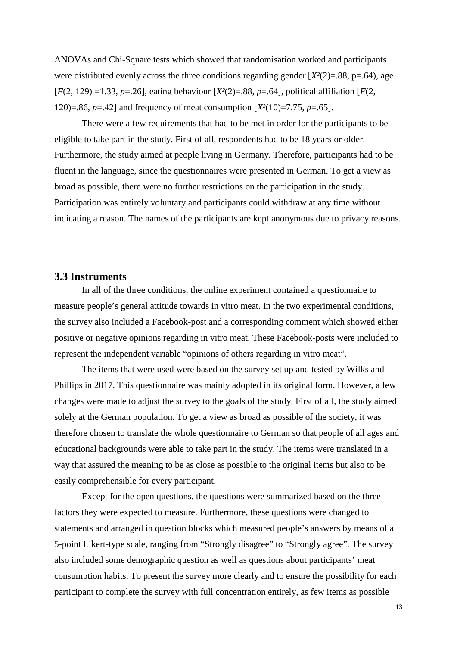ANOVAs and Chi-Square tests which showed that randomisation worked and participants were distributed evenly across the three conditions regarding gender  $[X^2(2)=0.88, p=.64)$ , age  $[F(2, 129) = 1.33, p = .26]$ , eating behaviour  $[X^2(2) = .88, p = .64]$ , political affiliation  $[F(2, 129) = 1.33, p = .26]$ 120)=.86, *p*=.42] and frequency of meat consumption [*X²*(10)=7.75, *p*=.65].

There were a few requirements that had to be met in order for the participants to be eligible to take part in the study. First of all, respondents had to be 18 years or older. Furthermore, the study aimed at people living in Germany. Therefore, participants had to be fluent in the language, since the questionnaires were presented in German. To get a view as broad as possible, there were no further restrictions on the participation in the study. Participation was entirely voluntary and participants could withdraw at any time without indicating a reason. The names of the participants are kept anonymous due to privacy reasons.

#### **3.3 Instruments**

In all of the three conditions, the online experiment contained a questionnaire to measure people's general attitude towards in vitro meat. In the two experimental conditions, the survey also included a Facebook-post and a corresponding comment which showed either positive or negative opinions regarding in vitro meat. These Facebook-posts were included to represent the independent variable "opinions of others regarding in vitro meat".

The items that were used were based on the survey set up and tested by Wilks and Phillips in 2017. This questionnaire was mainly adopted in its original form. However, a few changes were made to adjust the survey to the goals of the study. First of all, the study aimed solely at the German population. To get a view as broad as possible of the society, it was therefore chosen to translate the whole questionnaire to German so that people of all ages and educational backgrounds were able to take part in the study. The items were translated in a way that assured the meaning to be as close as possible to the original items but also to be easily comprehensible for every participant.

Except for the open questions, the questions were summarized based on the three factors they were expected to measure. Furthermore, these questions were changed to statements and arranged in question blocks which measured people's answers by means of a 5-point Likert-type scale, ranging from "Strongly disagree" to "Strongly agree". The survey also included some demographic question as well as questions about participants' meat consumption habits. To present the survey more clearly and to ensure the possibility for each participant to complete the survey with full concentration entirely, as few items as possible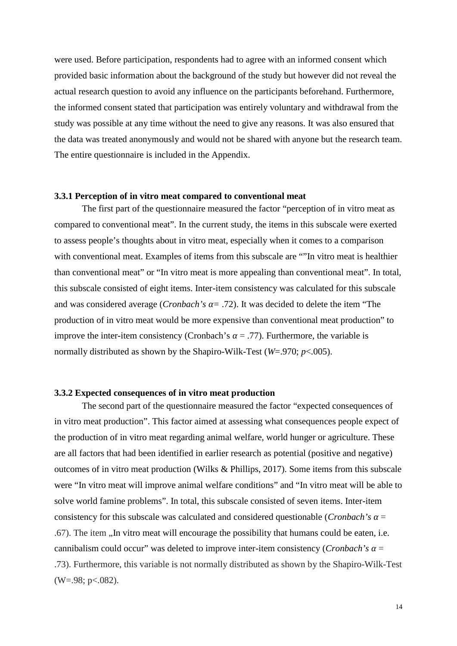were used. Before participation, respondents had to agree with an informed consent which provided basic information about the background of the study but however did not reveal the actual research question to avoid any influence on the participants beforehand. Furthermore, the informed consent stated that participation was entirely voluntary and withdrawal from the study was possible at any time without the need to give any reasons. It was also ensured that the data was treated anonymously and would not be shared with anyone but the research team. The entire questionnaire is included in the Appendix.

#### **3.3.1 Perception of in vitro meat compared to conventional meat**

The first part of the questionnaire measured the factor "perception of in vitro meat as compared to conventional meat". In the current study, the items in this subscale were exerted to assess people's thoughts about in vitro meat, especially when it comes to a comparison with conventional meat. Examples of items from this subscale are ""In vitro meat is healthier than conventional meat" or "In vitro meat is more appealing than conventional meat". In total, this subscale consisted of eight items. Inter-item consistency was calculated for this subscale and was considered average (*Cronbach's* = .72). It was decided to delete the item "The production of in vitro meat would be more expensive than conventional meat production" to improve the inter-item consistency (Cronbach's  $= .77$ ). Furthermore, the variable is normally distributed as shown by the Shapiro-Wilk-Test (*W*=.970; *p*<.005).

#### **3.3.2 Expected consequences of in vitro meat production**

The second part of the questionnaire measured the factor "expected consequences of in vitro meat production". This factor aimed at assessing what consequences people expect of the production of in vitro meat regarding animal welfare, world hunger or agriculture. These are all factors that had been identified in earlier research as potential (positive and negative) outcomes of in vitro meat production (Wilks & Phillips, 2017). Some items from this subscale were "In vitro meat will improve animal welfare conditions" and "In vitro meat will be able to solve world famine problems". In total, this subscale consisted of seven items. Inter-item consistency for this subscale was calculated and considered questionable (*Cronbach's* = .67). The item ,,In vitro meat will encourage the possibility that humans could be eaten, i.e. cannibalism could occur" was deleted to improve inter-item consistency (*Cronbach's* = .73). Furthermore, this variable is not normally distributed as shown by the Shapiro-Wilk-Test  $(W=.98; p<.082)$ .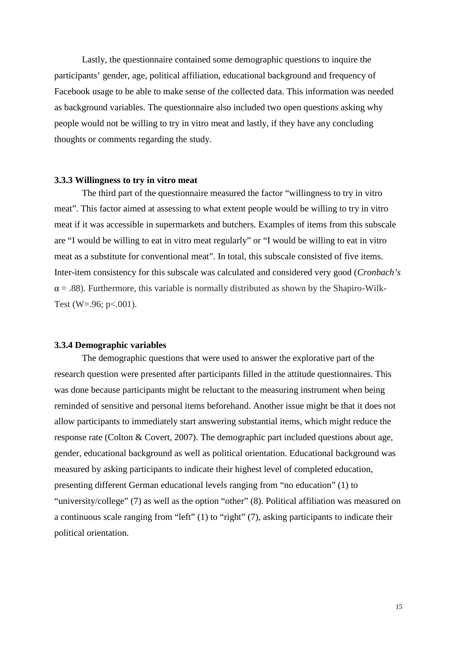Lastly, the questionnaire contained some demographic questions to inquire the participants' gender, age, political affiliation, educational background and frequency of Facebook usage to be able to make sense of the collected data. This information was needed as background variables. The questionnaire also included two open questions asking why people would not be willing to try in vitro meat and lastly, if they have any concluding thoughts or comments regarding the study.

#### **3.3.3 Willingness to try in vitro meat**

The third part of the questionnaire measured the factor "willingness to try in vitro meat". This factor aimed at assessing to what extent people would be willing to try in vitro meat if it was accessible in supermarkets and butchers. Examples of items from this subscale are "I would be willing to eat in vitro meat regularly" or "I would be willing to eat in vitro meat as a substitute for conventional meat". In total, this subscale consisted of five items. Inter-item consistency for this subscale was calculated and considered very good (*Cronbach's*

= .88). Furthermore, this variable is normally distributed as shown by the Shapiro-Wilk- Test (W=.96;  $p<.001$ ).

#### **3.3.4 Demographic variables**

The demographic questions that were used to answer the explorative part of the research question were presented after participants filled in the attitude questionnaires. This was done because participants might be reluctant to the measuring instrument when being reminded of sensitive and personal items beforehand. Another issue might be that it does not allow participants to immediately start answering substantial items, which might reduce the response rate (Colton & Covert, 2007). The demographic part included questions about age, gender, educational background as well as political orientation. Educational background was measured by asking participants to indicate their highest level of completed education, presenting different German educational levels ranging from "no education" (1) to "university/college" (7) as well as the option "other" (8). Political affiliation was measured on a continuous scale ranging from "left" (1) to "right" (7), asking participants to indicate their political orientation.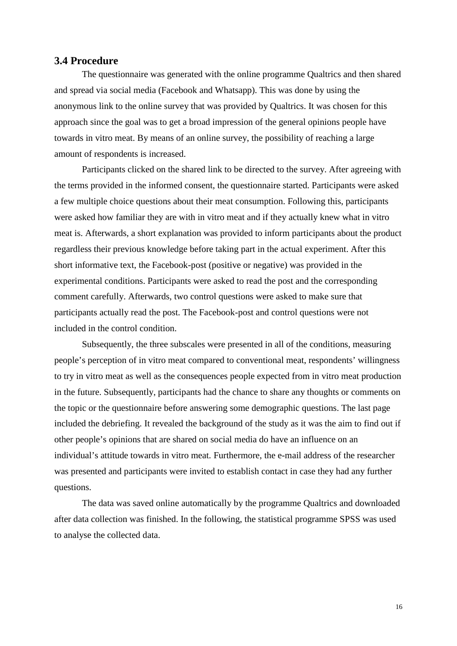#### **3.4 Procedure**

The questionnaire was generated with the online programme Qualtrics and then shared and spread via social media (Facebook and Whatsapp). This was done by using the anonymous link to the online survey that was provided by Qualtrics. It was chosen for this approach since the goal was to get a broad impression of the general opinions people have towards in vitro meat. By means of an online survey, the possibility of reaching a large amount of respondents is increased.

Participants clicked on the shared link to be directed to the survey. After agreeing with the terms provided in the informed consent, the questionnaire started. Participants were asked a few multiple choice questions about their meat consumption. Following this, participants were asked how familiar they are with in vitro meat and if they actually knew what in vitro meat is. Afterwards, a short explanation was provided to inform participants about the product regardless their previous knowledge before taking part in the actual experiment. After this short informative text, the Facebook-post (positive or negative) was provided in the experimental conditions. Participants were asked to read the post and the corresponding comment carefully. Afterwards, two control questions were asked to make sure that participants actually read the post. The Facebook-post and control questions were not included in the control condition.

Subsequently, the three subscales were presented in all of the conditions, measuring people's perception of in vitro meat compared to conventional meat, respondents' willingness to try in vitro meat as well as the consequences people expected from in vitro meat production in the future. Subsequently, participants had the chance to share any thoughts or comments on the topic or the questionnaire before answering some demographic questions. The last page included the debriefing. It revealed the background of the study as it was the aim to find out if other people's opinions that are shared on social media do have an influence on an individual's attitude towards in vitro meat. Furthermore, the e-mail address of the researcher was presented and participants were invited to establish contact in case they had any further questions.

The data was saved online automatically by the programme Qualtrics and downloaded after data collection was finished. In the following, the statistical programme SPSS was used to analyse the collected data.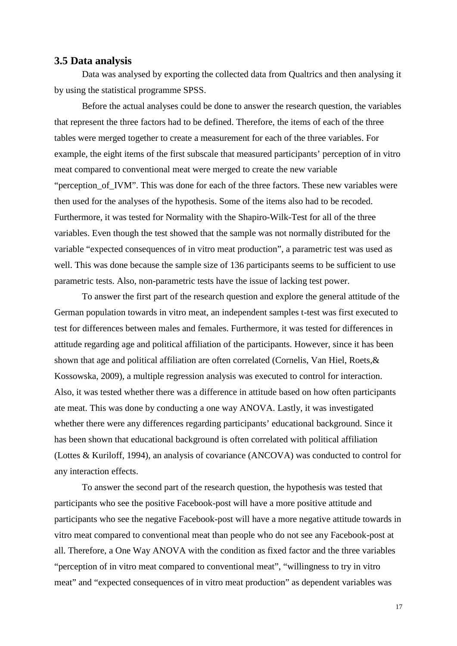#### **3.5 Data analysis**

Data was analysed by exporting the collected data from Qualtrics and then analysing it by using the statistical programme SPSS.

Before the actual analyses could be done to answer the research question, the variables that represent the three factors had to be defined. Therefore, the items of each of the three tables were merged together to create a measurement for each of the three variables. For example, the eight items of the first subscale that measured participants' perception of in vitro meat compared to conventional meat were merged to create the new variable "perception\_of\_IVM". This was done for each of the three factors. These new variables were then used for the analyses of the hypothesis. Some of the items also had to be recoded. Furthermore, it was tested for Normality with the Shapiro-Wilk-Test for all of the three variables. Even though the test showed that the sample was not normally distributed for the variable "expected consequences of in vitro meat production", a parametric test was used as well. This was done because the sample size of 136 participants seems to be sufficient to use parametric tests. Also, non-parametric tests have the issue of lacking test power.

To answer the first part of the research question and explore the general attitude of the German population towards in vitro meat, an independent samples t-test was first executed to test for differences between males and females. Furthermore, it was tested for differences in attitude regarding age and political affiliation of the participants. However, since it has been shown that age and political affiliation are often correlated (Cornelis, Van Hiel, Roets,& Kossowska, 2009), a multiple regression analysis was executed to control for interaction. Also, it was tested whether there was a difference in attitude based on how often participants ate meat. This was done by conducting a one way ANOVA. Lastly, it was investigated whether there were any differences regarding participants' educational background. Since it has been shown that educational background is often correlated with political affiliation (Lottes & Kuriloff, 1994), an analysis of covariance (ANCOVA) was conducted to control for any interaction effects.

To answer the second part of the research question, the hypothesis was tested that participants who see the positive Facebook-post will have a more positive attitude and participants who see the negative Facebook-post will have a more negative attitude towards in vitro meat compared to conventional meat than people who do not see any Facebook-post at all. Therefore, a One Way ANOVA with the condition as fixed factor and the three variables "perception of in vitro meat compared to conventional meat", "willingness to try in vitro meat" and "expected consequences of in vitro meat production" as dependent variables was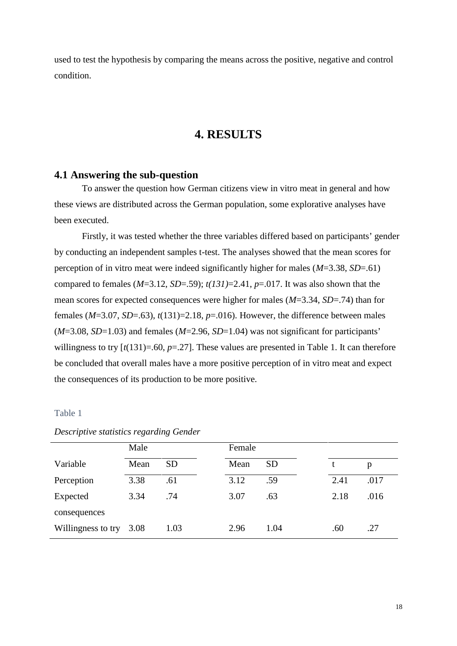used to test the hypothesis by comparing the means across the positive, negative and control condition.

# **4. RESULTS**

#### **4.1 Answering the sub-question**

To answer the question how German citizens view in vitro meat in general and how these views are distributed across the German population, some explorative analyses have been executed.

Firstly, it was tested whether the three variables differed based on participants' gender by conducting an independent samples t-test. The analyses showed that the mean scores for perception of in vitro meat were indeed significantly higher for males (*M*=3.38, *SD*=.61) compared to females (*M*=3.12, *SD*=.59); *t(131)*=2.41, *p*=.017. It was also shown that the mean scores for expected consequences were higher for males (*M*=3.34, *SD*=.74) than for females ( $M=3.07$ ,  $SD=.63$ ),  $t(131)=2.18$ ,  $p=.016$ ). However, the difference between males  $(M=3.08, SD=1.03)$  and females  $(M=2.96, SD=1.04)$  was not significant for participants' willingness to try  $[t(131)=0.60, p=.27]$ . These values are presented in Table 1. It can therefore be concluded that overall males have a more positive perception of in vitro meat and expect the consequences of its production to be more positive.

#### Table 1

|                    | Male |           | Female |           |      |      |
|--------------------|------|-----------|--------|-----------|------|------|
| Variable           | Mean | <b>SD</b> | Mean   | <b>SD</b> | t    | p    |
| Perception         | 3.38 | .61       | 3.12   | .59       | 2.41 | .017 |
| Expected           | 3.34 | .74       | 3.07   | .63       | 2.18 | .016 |
| consequences       |      |           |        |           |      |      |
| Willingness to try | 3.08 | 1.03      | 2.96   | 1.04      | .60  | .27  |

*Descriptive statistics regarding Gender*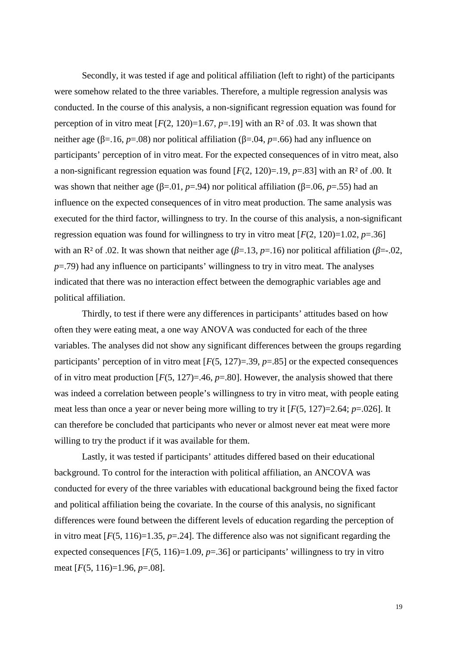Secondly, it was tested if age and political affiliation (left to right) of the participants were somehow related to the three variables. Therefore, a multiple regression analysis was conducted. In the course of this analysis, a non-significant regression equation was found for perception of in vitro meat  $[F(2, 120)=1.67, p=.19]$  with an R<sup>2</sup> of .03. It was shown that neither age ( $=$ .16, *p*=.08) nor political affiliation ( $=$ .04, *p*=.66) had any influence on participants' perception of in vitro meat. For the expected consequences of in vitro meat, also a non-significant regression equation was found [*F*(2, 120)=.19, *p*=.83] with an R² of .00. It was shown that neither age ( $=$  -01,  $p$ =.94) nor political affiliation ( $=$  -06,  $p$ =.55) had an influence on the expected consequences of in vitro meat production. The same analysis was executed for the third factor, willingness to try. In the course of this analysis, a non-significant regression equation was found for willingness to try in vitro meat  $[F(2, 120)=1.02, p=.36]$ with an R<sup>2</sup> of .02. It was shown that neither age ( $=$ .13,  $p=$ .16) nor political affiliation ( $=$ -.02, *p*=.79) had any influence on participants' willingness to try in vitro meat. The analyses indicated that there was no interaction effect between the demographic variables age and political affiliation.

Thirdly, to test if there were any differences in participants' attitudes based on how often they were eating meat, a one way ANOVA was conducted for each of the three variables. The analyses did not show any significant differences between the groups regarding participants' perception of in vitro meat  $[F(5, 127)=0.39, p=.85]$  or the expected consequences of in vitro meat production [*F*(5, 127)=.46, *p*=.80]. However, the analysis showed that there was indeed a correlation between people's willingness to try in vitro meat, with people eating meat less than once a year or never being more willing to try it [*F*(5, 127)=2.64; *p*=.026]. It can therefore be concluded that participants who never or almost never eat meat were more willing to try the product if it was available for them.

Lastly, it was tested if participants' attitudes differed based on their educational background. To control for the interaction with political affiliation, an ANCOVA was conducted for every of the three variables with educational background being the fixed factor and political affiliation being the covariate. In the course of this analysis, no significant differences were found between the different levels of education regarding the perception of in vitro meat  $[F(5, 116)=1.35, p=.24]$ . The difference also was not significant regarding the expected consequences  $[F(5, 116)=1.09, p=.36]$  or participants' willingness to try in vitro meat [*F*(5, 116)=1.96, *p*=.08].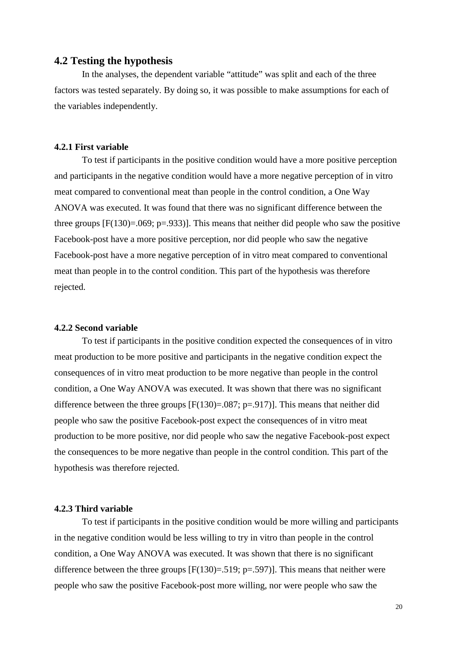#### **4.2 Testing the hypothesis**

In the analyses, the dependent variable "attitude" was split and each of the three factors was tested separately. By doing so, it was possible to make assumptions for each of the variables independently.

#### **4.2.1 First variable**

To test if participants in the positive condition would have a more positive perception and participants in the negative condition would have a more negative perception of in vitro meat compared to conventional meat than people in the control condition, a One Way ANOVA was executed. It was found that there was no significant difference between the three groups  $[F(130)=0.069; p=.933]$ . This means that neither did people who saw the positive Facebook-post have a more positive perception, nor did people who saw the negative Facebook-post have a more negative perception of in vitro meat compared to conventional meat than people in to the control condition. This part of the hypothesis was therefore rejected.

#### **4.2.2 Second variable**

To test if participants in the positive condition expected the consequences of in vitro meat production to be more positive and participants in the negative condition expect the consequences of in vitro meat production to be more negative than people in the control condition, a One Way ANOVA was executed. It was shown that there was no significant difference between the three groups  $[F(130)=0.087; p=.917]$ . This means that neither did people who saw the positive Facebook-post expect the consequences of in vitro meat production to be more positive, nor did people who saw the negative Facebook-post expect the consequences to be more negative than people in the control condition. This part of the hypothesis was therefore rejected.

#### **4.2.3 Third variable**

To test if participants in the positive condition would be more willing and participants in the negative condition would be less willing to try in vitro than people in the control condition, a One Way ANOVA was executed. It was shown that there is no significant difference between the three groups  $[F(130)=0.519; p=.597]$ . This means that neither were people who saw the positive Facebook-post more willing, nor were people who saw the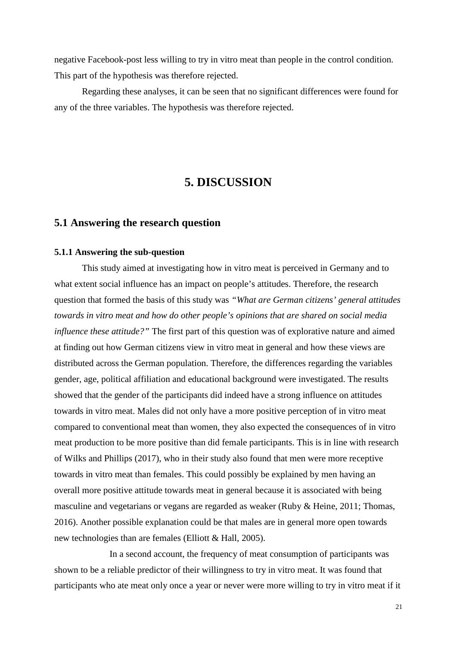negative Facebook-post less willing to try in vitro meat than people in the control condition. This part of the hypothesis was therefore rejected.

Regarding these analyses, it can be seen that no significant differences were found for any of the three variables. The hypothesis was therefore rejected.

# **5. DISCUSSION**

#### **5.1 Answering the research question**

#### **5.1.1 Answering the sub-question**

This study aimed at investigating how in vitro meat is perceived in Germany and to what extent social influence has an impact on people's attitudes. Therefore, the research question that formed the basis of this study was *"What are German citizens' general attitudes towards in vitro meat and how do other people's opinions that are shared on social media influence these attitude?"* The first part of this question was of explorative nature and aimed at finding out how German citizens view in vitro meat in general and how these views are distributed across the German population. Therefore, the differences regarding the variables gender, age, political affiliation and educational background were investigated. The results showed that the gender of the participants did indeed have a strong influence on attitudes towards in vitro meat. Males did not only have a more positive perception of in vitro meat compared to conventional meat than women, they also expected the consequences of in vitro meat production to be more positive than did female participants. This is in line with research of Wilks and Phillips (2017), who in their study also found that men were more receptive towards in vitro meat than females. This could possibly be explained by men having an overall more positive attitude towards meat in general because it is associated with being masculine and vegetarians or vegans are regarded as weaker (Ruby & Heine, 2011; Thomas, 2016). Another possible explanation could be that males are in general more open towards new technologies than are females (Elliott & Hall, 2005).

In a second account, the frequency of meat consumption of participants was shown to be a reliable predictor of their willingness to try in vitro meat. It was found that participants who ate meat only once a year or never were more willing to try in vitro meat if it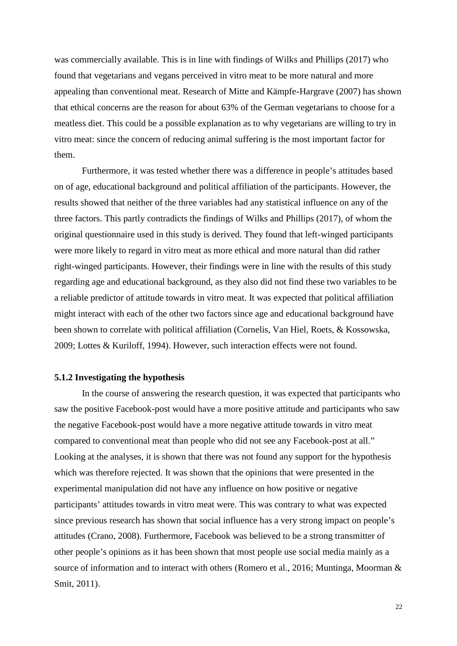was commercially available. This is in line with findings of Wilks and Phillips (2017) who found that vegetarians and vegans perceived in vitro meat to be more natural and more appealing than conventional meat. Research of Mitte and Kämpfe-Hargrave (2007) has shown that ethical concerns are the reason for about 63% of the German vegetarians to choose for a meatless diet. This could be a possible explanation as to why vegetarians are willing to try in vitro meat: since the concern of reducing animal suffering is the most important factor for them.

Furthermore, it was tested whether there was a difference in people's attitudes based on of age, educational background and political affiliation of the participants. However, the results showed that neither of the three variables had any statistical influence on any of the three factors. This partly contradicts the findings of Wilks and Phillips (2017), of whom the original questionnaire used in this study is derived. They found that left-winged participants were more likely to regard in vitro meat as more ethical and more natural than did rather right-winged participants. However, their findings were in line with the results of this study regarding age and educational background, as they also did not find these two variables to be a reliable predictor of attitude towards in vitro meat. It was expected that political affiliation might interact with each of the other two factors since age and educational background have been shown to correlate with political affiliation (Cornelis, Van Hiel, Roets, & Kossowska, 2009; Lottes & Kuriloff, 1994). However, such interaction effects were not found.

#### **5.1.2 Investigating the hypothesis**

In the course of answering the research question, it was expected that participants who saw the positive Facebook-post would have a more positive attitude and participants who saw the negative Facebook-post would have a more negative attitude towards in vitro meat compared to conventional meat than people who did not see any Facebook-post at all." Looking at the analyses, it is shown that there was not found any support for the hypothesis which was therefore rejected. It was shown that the opinions that were presented in the experimental manipulation did not have any influence on how positive or negative participants' attitudes towards in vitro meat were. This was contrary to what was expected since previous research has shown that social influence has a very strong impact on people's attitudes (Crano, 2008). Furthermore, Facebook was believed to be a strong transmitter of other people's opinions as it has been shown that most people use social media mainly as a source of information and to interact with others (Romero et al., 2016; Muntinga, Moorman & Smit, 2011).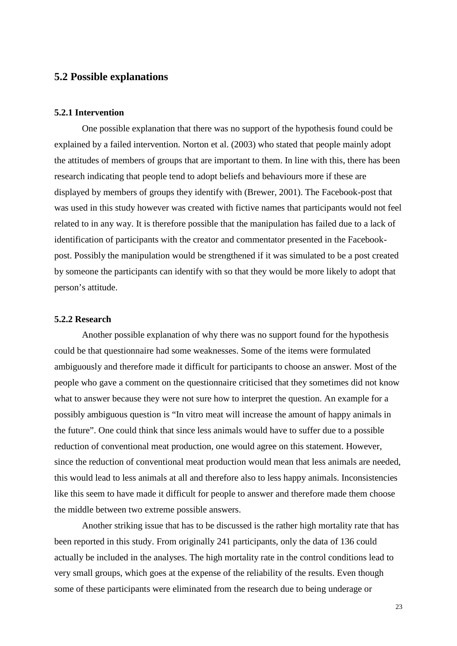#### **5.2 Possible explanations**

#### **5.2.1 Intervention**

One possible explanation that there was no support of the hypothesis found could be explained by a failed intervention. Norton et al. (2003) who stated that people mainly adopt the attitudes of members of groups that are important to them. In line with this, there has been research indicating that people tend to adopt beliefs and behaviours more if these are displayed by members of groups they identify with (Brewer, 2001). The Facebook-post that was used in this study however was created with fictive names that participants would not feel related to in any way. It is therefore possible that the manipulation has failed due to a lack of identification of participants with the creator and commentator presented in the Facebook post. Possibly the manipulation would be strengthened if it was simulated to be a post created by someone the participants can identify with so that they would be more likely to adopt that person's attitude.

#### **5.2.2 Research**

Another possible explanation of why there was no support found for the hypothesis could be that questionnaire had some weaknesses. Some of the items were formulated ambiguously and therefore made it difficult for participants to choose an answer. Most of the people who gave a comment on the questionnaire criticised that they sometimes did not know what to answer because they were not sure how to interpret the question. An example for a possibly ambiguous question is "In vitro meat will increase the amount of happy animals in the future". One could think that since less animals would have to suffer due to a possible reduction of conventional meat production, one would agree on this statement. However, since the reduction of conventional meat production would mean that less animals are needed, this would lead to less animals at all and therefore also to less happy animals. Inconsistencies like this seem to have made it difficult for people to answer and therefore made them choose the middle between two extreme possible answers.

Another striking issue that has to be discussed is the rather high mortality rate that has been reported in this study. From originally 241 participants, only the data of 136 could actually be included in the analyses. The high mortality rate in the control conditions lead to very small groups, which goes at the expense of the reliability of the results. Even though some of these participants were eliminated from the research due to being underage or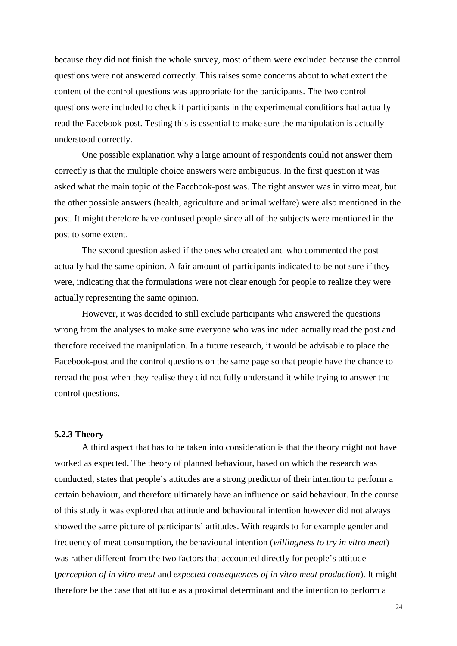because they did not finish the whole survey, most of them were excluded because the control questions were not answered correctly. This raises some concerns about to what extent the content of the control questions was appropriate for the participants. The two control questions were included to check if participants in the experimental conditions had actually read the Facebook-post. Testing this is essential to make sure the manipulation is actually understood correctly.

One possible explanation why a large amount of respondents could not answer them correctly is that the multiple choice answers were ambiguous. In the first question it was asked what the main topic of the Facebook-post was. The right answer was in vitro meat, but the other possible answers (health, agriculture and animal welfare) were also mentioned in the post. It might therefore have confused people since all of the subjects were mentioned in the post to some extent.

The second question asked if the ones who created and who commented the post actually had the same opinion. A fair amount of participants indicated to be not sure if they were, indicating that the formulations were not clear enough for people to realize they were actually representing the same opinion.

However, it was decided to still exclude participants who answered the questions wrong from the analyses to make sure everyone who was included actually read the post and therefore received the manipulation. In a future research, it would be advisable to place the Facebook-post and the control questions on the same page so that people have the chance to reread the post when they realise they did not fully understand it while trying to answer the control questions.

#### **5.2.3 Theory**

A third aspect that has to be taken into consideration is that the theory might not have worked as expected. The theory of planned behaviour, based on which the research was conducted, states that people's attitudes are a strong predictor of their intention to perform a certain behaviour, and therefore ultimately have an influence on said behaviour. In the course of this study it was explored that attitude and behavioural intention however did not always showed the same picture of participants' attitudes. With regards to for example gender and frequency of meat consumption, the behavioural intention (*willingness to try in vitro meat*) was rather different from the two factors that accounted directly for people's attitude (*perception of in vitro meat* and *expected consequences of in vitro meat production*). It might therefore be the case that attitude as a proximal determinant and the intention to perform a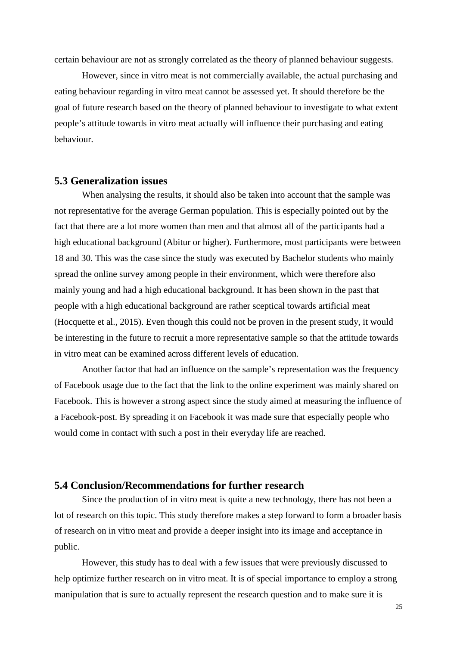certain behaviour are not as strongly correlated as the theory of planned behaviour suggests.

However, since in vitro meat is not commercially available, the actual purchasing and eating behaviour regarding in vitro meat cannot be assessed yet. It should therefore be the goal of future research based on the theory of planned behaviour to investigate to what extent people's attitude towards in vitro meat actually will influence their purchasing and eating behaviour.

# **5.3 Generalization issues**

When analysing the results, it should also be taken into account that the sample was not representative for the average German population. This is especially pointed out by the fact that there are a lot more women than men and that almost all of the participants had a high educational background (Abitur or higher). Furthermore, most participants were between 18 and 30. This was the case since the study was executed by Bachelor students who mainly spread the online survey among people in their environment, which were therefore also mainly young and had a high educational background. It has been shown in the past that people with a high educational background are rather sceptical towards artificial meat (Hocquette et al., 2015). Even though this could not be proven in the present study, it would be interesting in the future to recruit a more representative sample so that the attitude towards in vitro meat can be examined across different levels of education.

Another factor that had an influence on the sample's representation was the frequency of Facebook usage due to the fact that the link to the online experiment was mainly shared on Facebook. This is however a strong aspect since the study aimed at measuring the influence of a Facebook-post. By spreading it on Facebook it was made sure that especially people who would come in contact with such a post in their everyday life are reached.

#### **5.4 Conclusion/Recommendations for further research**

Since the production of in vitro meat is quite a new technology, there has not been a lot of research on this topic. This study therefore makes a step forward to form a broader basis of research on in vitro meat and provide a deeper insight into its image and acceptance in public.

However, this study has to deal with a few issues that were previously discussed to help optimize further research on in vitro meat. It is of special importance to employ a strong manipulation that is sure to actually represent the research question and to make sure it is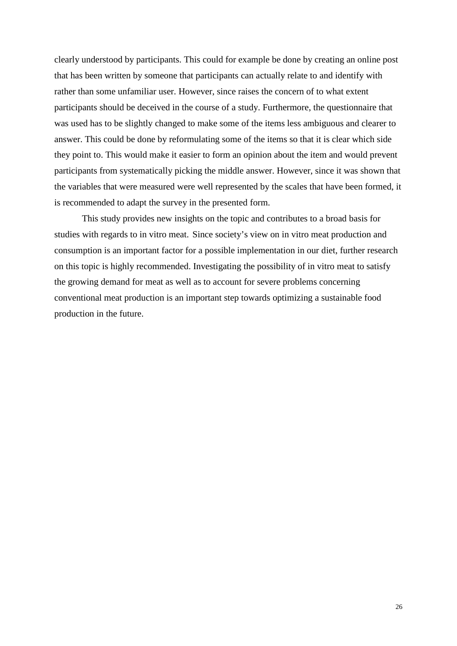clearly understood by participants. This could for example be done by creating an online post that has been written by someone that participants can actually relate to and identify with rather than some unfamiliar user. However, since raises the concern of to what extent participants should be deceived in the course of a study. Furthermore, the questionnaire that was used has to be slightly changed to make some of the items less ambiguous and clearer to answer. This could be done by reformulating some of the items so that it is clear which side they point to. This would make it easier to form an opinion about the item and would prevent participants from systematically picking the middle answer. However, since it was shown that the variables that were measured were well represented by the scales that have been formed, it is recommended to adapt the survey in the presented form.

This study provides new insights on the topic and contributes to a broad basis for studies with regards to in vitro meat. Since society's view on in vitro meat production and consumption is an important factor for a possible implementation in our diet, further research on this topic is highly recommended. Investigating the possibility of in vitro meat to satisfy the growing demand for meat as well as to account for severe problems concerning conventional meat production is an important step towards optimizing a sustainable food production in the future.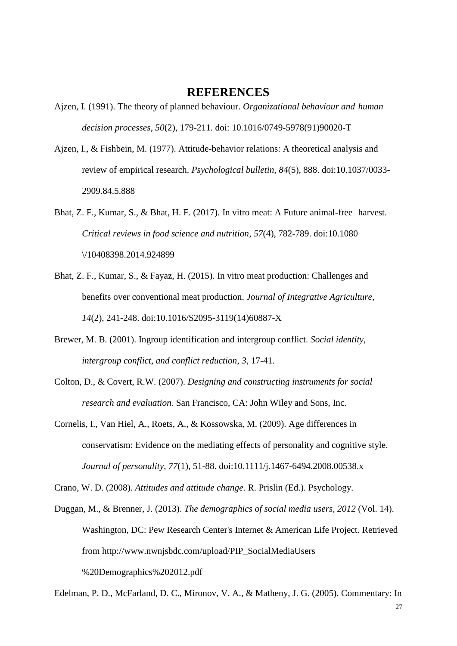## **REFERENCES**

- Ajzen, I. (1991). The theory of planned behaviour. *Organizational behaviour and human decision processes*, *50*(2), 179-211. doi: 10.1016/0749-5978(91)90020-T
- Ajzen, I., & Fishbein, M. (1977). Attitude-behavior relations: A theoretical analysis and review of empirical research. *Psychological bulletin*, *84*(5), 888. doi:10.1037/0033- 2909.84.5.888
- Bhat, Z. F., Kumar, S., & Bhat, H. F. (2017). In vitro meat: A Future animal-free harvest. *Critical reviews in food science and nutrition*, *57*(4), 782-789. doi:10.1080 \/10408398.2014.924899
- Bhat, Z. F., Kumar, S., & Fayaz, H. (2015). In vitro meat production: Challenges and benefits over conventional meat production. *Journal of Integrative Agriculture*, *14*(2), 241-248. doi:10.1016/S2095-3119(14)60887-X
- Brewer, M. B. (2001). Ingroup identification and intergroup conflict. *Social identity, intergroup conflict, and conflict reduction*, *3*, 17-41.
- Colton, D., & Covert, R.W. (2007). *Designing and constructing instruments for social research and evaluation.* San Francisco, CA: John Wiley and Sons, Inc.
- Cornelis, I., Van Hiel, A., Roets, A., & Kossowska, M. (2009). Age differences in conservatism: Evidence on the mediating effects of personality and cognitive style. *Journal of personality*, *77*(1), 51-88. doi:10.1111/j.1467-6494.2008.00538.x
- Crano, W. D. (2008). *Attitudes and attitude change*. R. Prislin (Ed.). Psychology.
- Duggan, M., & Brenner, J. (2013). *The demographics of social media users, 2012* (Vol. 14). Washington, DC: Pew Research Center's Internet & American Life Project. Retrieved from http://www.nwnjsbdc.com/upload/PIP\_SocialMediaUsers %20Demographics%202012.pdf

Edelman, P. D., McFarland, D. C., Mironov, V. A., & Matheny, J. G. (2005). Commentary: In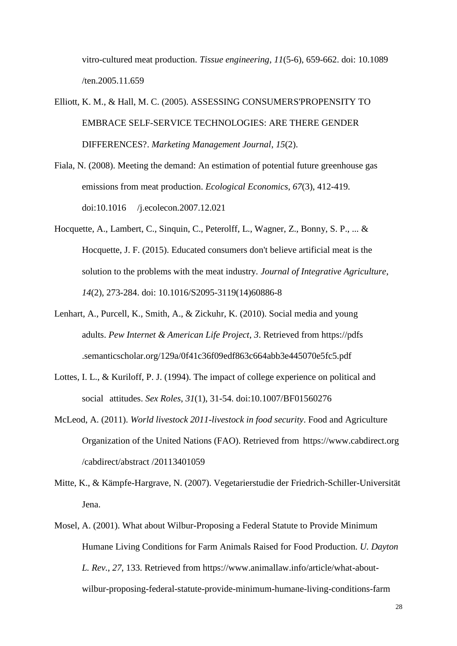vitro-cultured meat production. *Tissue engineering*, *11*(5-6), 659-662. doi: 10.1089 /ten.2005.11.659

Elliott, K. M., & Hall, M. C. (2005). ASSESSING CONSUMERS'PROPENSITY TO EMBRACE SELF-SERVICE TECHNOLOGIES: ARE THERE GENDER DIFFERENCES?. *Marketing Management Journal*, *15*(2).

Fiala, N. (2008). Meeting the demand: An estimation of potential future greenhouse gas emissions from meat production. *Ecological Economics*, *67*(3), 412-419. doi:10.1016 /j.ecolecon.2007.12.021

- Hocquette, A., Lambert, C., Sinquin, C., Peterolff, L., Wagner, Z., Bonny, S. P., ... & Hocquette, J. F. (2015). Educated consumers don't believe artificial meat is the solution to the problems with the meat industry. *Journal of Integrative Agriculture*, *14*(2), 273-284. doi: 10.1016/S2095-3119(14)60886-8
- Lenhart, A., Purcell, K., Smith, A., & Zickuhr, K. (2010). Social media and young adults. *Pew Internet & American Life Project*, *3*. Retrieved from https://pdfs .semanticscholar.org/129a/0f41c36f09edf863c664abb3e445070e5fc5.pdf
- Lottes, I. L., & Kuriloff, P. J. (1994). The impact of college experience on political and social attitudes. *Sex Roles*, *31*(1), 31-54. doi:10.1007/BF01560276
- McLeod, A. (2011). *World livestock 2011-livestock in food security*. Food and Agriculture Organization of the United Nations (FAO). Retrieved from https://www.cabdirect.org /cabdirect/abstract /20113401059
- Mitte, K., & Kämpfe-Hargrave, N. (2007). Vegetarierstudie der Friedrich-Schiller-Universität Jena.
- Mosel, A. (2001). What about Wilbur-Proposing a Federal Statute to Provide Minimum Humane Living Conditions for Farm Animals Raised for Food Production. *U. Dayton L. Rev.*, *27*, 133. Retrieved from https://www.animallaw.info/article/what-about wilbur-proposing-federal-statute-provide-minimum-humane-living-conditions-farm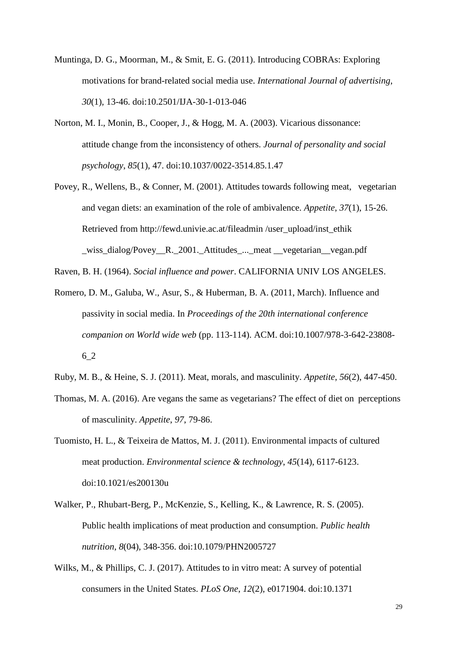- Muntinga, D. G., Moorman, M., & Smit, E. G. (2011). Introducing COBRAs: Exploring motivations for brand-related social media use. *International Journal of advertising*, *30*(1), 13-46. doi:10.2501/IJA-30-1-013-046
- Norton, M. I., Monin, B., Cooper, J., & Hogg, M. A. (2003). Vicarious dissonance: attitude change from the inconsistency of others. *Journal of personality and social psychology*, *85*(1), 47. doi:10.1037/0022-3514.85.1.47
- Povey, R., Wellens, B., & Conner, M. (2001). Attitudes towards following meat, vegetarian and vegan diets: an examination of the role of ambivalence. *Appetite*, *37*(1), 15-26. Retrieved from http://fewd.univie.ac.at/fileadmin /user\_upload/inst\_ethik \_wiss\_dialog/Povey\_\_R.\_2001.\_Attitudes\_...\_meat \_\_vegetarian\_\_vegan.pdf

Raven, B. H. (1964). *Social influence and power*. CALIFORNIA UNIV LOS ANGELES.

- Romero, D. M., Galuba, W., Asur, S., & Huberman, B. A. (2011, March). Influence and passivity in social media. In *Proceedings of the 20th international conference companion on World wide web* (pp. 113-114). ACM. doi:10.1007/978-3-642-23808- 6\_2
- Ruby, M. B., & Heine, S. J. (2011). Meat, morals, and masculinity. *Appetite*, *56*(2), 447-450.
- Thomas, M. A. (2016). Are vegans the same as vegetarians? The effect of diet on perceptions of masculinity. *Appetite*, *97*, 79-86.
- Tuomisto, H. L., & Teixeira de Mattos, M. J. (2011). Environmental impacts of cultured meat production. *Environmental science & technology*, *45*(14), 6117-6123. doi:10.1021/es200130u
- Walker, P., Rhubart-Berg, P., McKenzie, S., Kelling, K., & Lawrence, R. S. (2005). Public health implications of meat production and consumption. *Public health nutrition*, *8*(04), 348-356. doi:10.1079/PHN2005727
- Wilks, M., & Phillips, C. J. (2017). Attitudes to in vitro meat: A survey of potential consumers in the United States. *PLoS One*, *12*(2), e0171904. doi:10.1371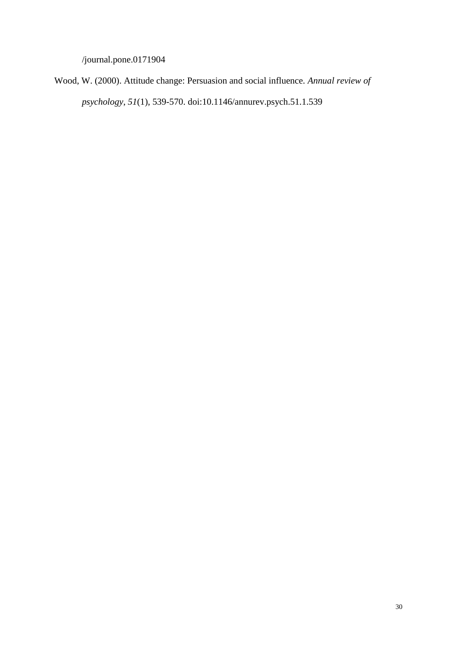/journal.pone.0171904

Wood, W. (2000). Attitude change: Persuasion and social influence. *Annual review of psychology*, *51*(1), 539-570. doi:10.1146/annurev.psych.51.1.539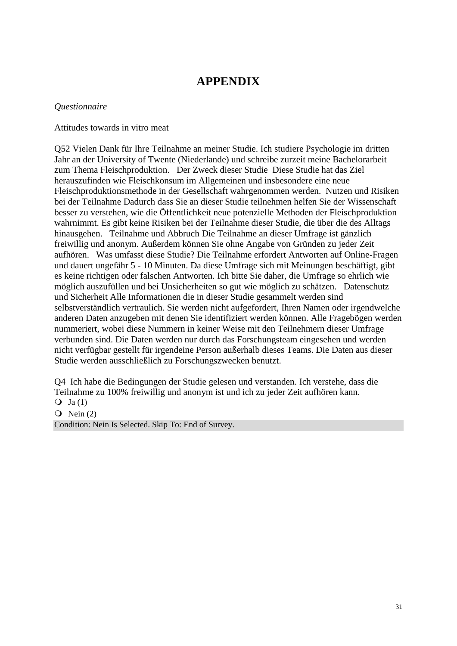# **APPENDIX**

#### *Questionnaire*

Attitudes towards in vitro meat

Q52 Vielen Dank für Ihre Teilnahme an meiner Studie. Ich studiere Psychologie im dritten Jahr an der University of Twente (Niederlande) und schreibe zurzeit meine Bachelorarbeit zum Thema Fleischproduktion. Der Zweck dieser Studie Diese Studie hat das Ziel herauszufinden wie Fleischkonsum im Allgemeinen und insbesondere eine neue Fleischproduktionsmethode in der Gesellschaft wahrgenommen werden. Nutzen und Risiken bei der Teilnahme Dadurch dass Sie an dieser Studie teilnehmen helfen Sie der Wissenschaft besser zu verstehen, wie die Öffentlichkeit neue potenzielle Methoden der Fleischproduktion wahrnimmt. Es gibt keine Risiken bei der Teilnahme dieser Studie, die über die des Alltags hinausgehen. Teilnahme und Abbruch Die Teilnahme an dieser Umfrage ist gänzlich freiwillig und anonym. Außerdem können Sie ohne Angabe von Gründen zu jeder Zeit aufhören. Was umfasst diese Studie? Die Teilnahme erfordert Antworten auf Online-Fragen und dauert ungefähr 5 - 10 Minuten. Da diese Umfrage sich mit Meinungen beschäftigt, gibt es keine richtigen oder falschen Antworten. Ich bitte Sie daher, die Umfrage so ehrlich wie möglich auszufüllen und bei Unsicherheiten so gut wie möglich zu schätzen. Datenschutz und Sicherheit Alle Informationen die in dieser Studie gesammelt werden sind selbstverständlich vertraulich. Sie werden nicht aufgefordert, Ihren Namen oder irgendwelche anderen Daten anzugeben mit denen Sie identifiziert werden können. Alle Fragebögen werden nummeriert, wobei diese Nummern in keiner Weise mit den Teilnehmern dieser Umfrage verbunden sind. Die Daten werden nur durch das Forschungsteam eingesehen und werden nicht verfügbar gestellt für irgendeine Person außerhalb dieses Teams. Die Daten aus dieser Studie werden ausschließlich zu Forschungszwecken benutzt.

Q4 Ich habe die Bedingungen der Studie gelesen und verstanden. Ich verstehe, dass die Teilnahme zu 100% freiwillig und anonym ist und ich zu jeder Zeit aufhören kann.  $Q$  Ja(1)

 $\overline{Q}$  Nein (2)

Condition: Nein Is Selected. Skip To: End of Survey.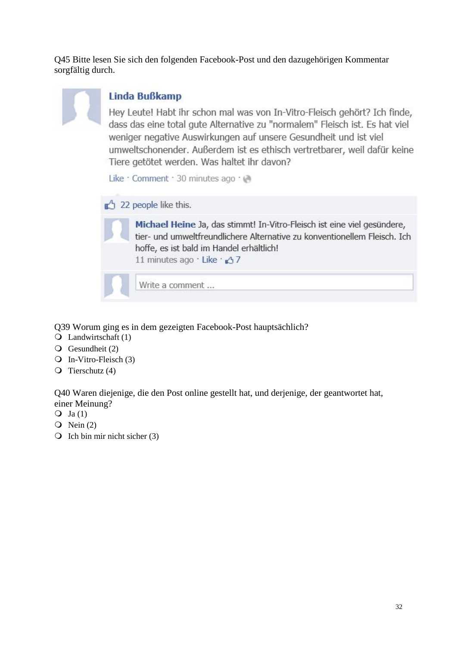Q45 Bitte lesen Sie sich den folgenden Facebook-Post und den dazugehörigen Kommentar sorgfältig durch.



# Linda Bußkamp

Hey Leute! Habt ihr schon mal was von In-Vitro-Fleisch gehört? Ich finde, dass das eine total gute Alternative zu "normalem" Fleisch ist. Es hat viel weniger negative Auswirkungen auf unsere Gesundheit und ist viel umweltschonender. Außerdem ist es ethisch vertretbarer, weil dafür keine Tiere getötet werden. Was haltet ihr davon?

Like · Comment · 30 minutes ago · @

22 people like this.



Michael Heine Ja, das stimmt! In-Vitro-Fleisch ist eine viel gesündere, tier- und umweltfreundlichere Alternative zu konventionellem Fleisch. Ich hoffe, es ist bald im Handel erhältlich! 11 minutes ago · Like · 47

Write a comment ...

Q39 Worum ging es in dem gezeigten Facebook-Post hauptsächlich?

- Landwirtschaft (1)
- Gesundheit (2)
- $\overline{Q}$  In-Vitro-Fleisch (3)
- $\overline{O}$  Tierschutz (4)

Q40 Waren diejenige, die den Post online gestellt hat, und derjenige, der geantwortet hat, einer Meinung?

- $Q$  Ja(1)
- $\overline{Q}$  Nein (2)
- $\overline{Q}$  Ich bin mir nicht sicher (3)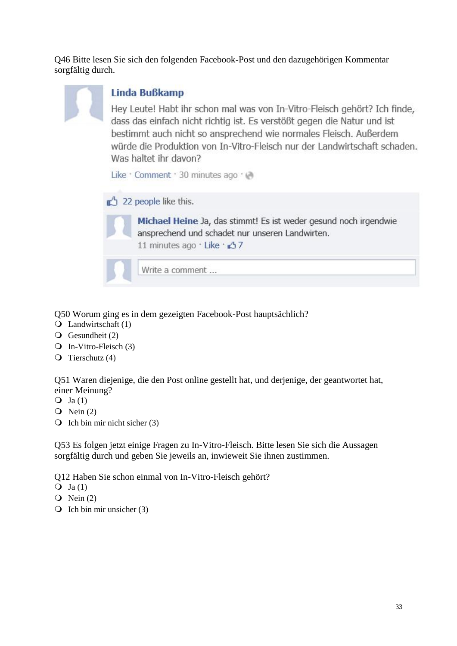Q46 Bitte lesen Sie sich den folgenden Facebook-Post und den dazugehörigen Kommentar sorgfältig durch.



# Linda Bußkamp

Hey Leute! Habt ihr schon mal was von In-Vitro-Fleisch gehört? Ich finde, dass das einfach nicht richtig ist. Es verstößt gegen die Natur und ist bestimmt auch nicht so ansprechend wie normales Fleisch. Außerdem würde die Produktion von In-Vitro-Fleisch nur der Landwirtschaft schaden. Was haltet ihr davon?

Like · Comment · 30 minutes ago · @

22 people like this.



Michael Heine Ja, das stimmt! Es ist weder gesund noch irgendwie ansprechend und schadet nur unseren Landwirten. 11 minutes ago · Like · 47

Write a comment ...

### Q50 Worum ging es in dem gezeigten Facebook-Post hauptsächlich?

- $\overline{Q}$  Landwirtschaft (1)
- Gesundheit (2)
- $\overline{Q}$  In-Vitro-Fleisch (3)
- $\overline{O}$  Tierschutz (4)

Q51 Waren diejenige, die den Post online gestellt hat, und derjenige, der geantwortet hat, einer Meinung?

- $Q$  Ja(1)
- $\overline{Q}$  Nein (2)
- $\bigcirc$  Ich bin mir nicht sicher (3)

Q53 Es folgen jetzt einige Fragen zu In-Vitro-Fleisch. Bitte lesen Sie sich die Aussagen sorgfältig durch und geben Sie jeweils an, inwieweit Sie ihnen zustimmen.

Q12 Haben Sie schon einmal von In-Vitro-Fleisch gehört?

- $Q$  Ja(1)
- $\overline{Q}$  Nein (2)
- $\overline{Q}$  Ich bin mir unsicher (3)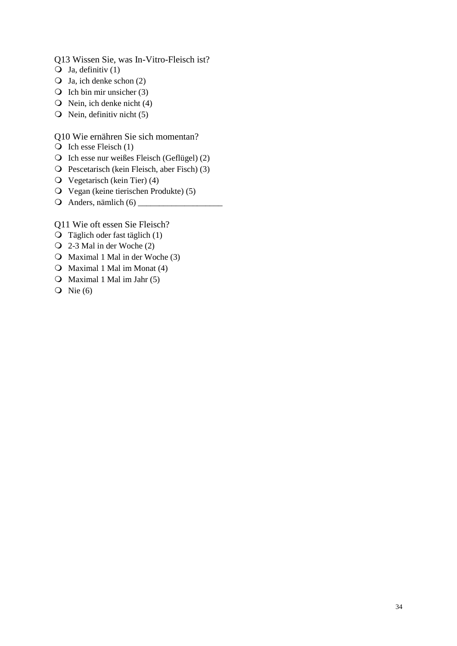Q13 Wissen Sie, was In-Vitro-Fleisch ist?

- $\overline{Q}$  Ja, definitiv (1)
- $\overline{Q}$  Ja, ich denke schon (2)
- $\overline{Q}$  Ich bin mir unsicher (3)
- $\overline{Q}$  Nein, ich denke nicht (4)
- $\overline{O}$  Nein, definitiv nicht (5)

#### Q10 Wie ernähren Sie sich momentan?

- $\bigcirc$  Ich esse Fleisch (1)
- Ich esse nur weißes Fleisch (Geflügel) (2)
- Pescetarisch (kein Fleisch, aber Fisch) (3)
- $\overline{Q}$  Vegetarisch (kein Tier) (4)
- Vegan (keine tierischen Produkte) (5)
- Anders, nämlich (6) \_\_\_\_\_\_\_\_\_\_\_\_\_\_\_\_\_\_\_\_

#### Q11 Wie oft essen Sie Fleisch?

- Täglich oder fast täglich (1)
- 2-3 Mal in der Woche (2)
- O Maximal 1 Mal in der Woche (3)
- $\bigcirc$  Maximal 1 Mal im Monat (4)
- $\bigcirc$  Maximal 1 Mal im Jahr (5)
- $\overline{Q}$  Nie (6)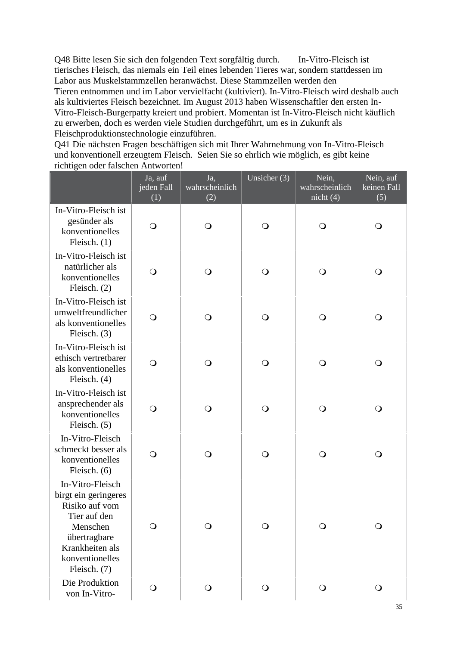Q48 Bitte lesen Sie sich den folgenden Text sorgfältig durch. In-Vitro-Fleisch ist tierisches Fleisch, das niemals ein Teil eines lebenden Tieres war, sondern stattdessen im Labor aus Muskelstammzellen heranwächst. Diese Stammzellen werden den Tieren entnommen und im Labor vervielfacht (kultiviert). In-Vitro-Fleisch wird deshalb auch als kultiviertes Fleisch bezeichnet. Im August 2013 haben Wissenschaftler den ersten In- Vitro-Fleisch-Burgerpatty kreiert und probiert. Momentan ist In-Vitro-Fleisch nicht käuflich zu erwerben, doch es werden viele Studien durchgeführt, um es in Zukunft als Fleischproduktionstechnologie einzuführen.

Q41 Die nächsten Fragen beschäftigen sich mit Ihrer Wahrnehmung von In-Vitro-Fleisch und konventionell erzeugtem Fleisch. Seien Sie so ehrlich wie möglich, es gibt keine richtigen oder falschen Antworten!

|                                                                                                                                                              | Ja, auf<br>jeden Fall<br>(1) | Ja,<br>wahrscheinlich<br>(2) | Unsicher $(3)$ | Nein,<br>wahrscheinlich<br>nicht $(4)$ | Nein, auf<br>keinen Fall<br>(5) |
|--------------------------------------------------------------------------------------------------------------------------------------------------------------|------------------------------|------------------------------|----------------|----------------------------------------|---------------------------------|
| In-Vitro-Fleisch ist<br>gesünder als<br>konventionelles<br>Fleisch. $(1)$                                                                                    | $\bigcirc$                   | $\circ$                      | $\bigcirc$     | $\bigcirc$                             | $\bigcirc$                      |
| In-Vitro-Fleisch ist<br>natürlicher als<br>konventionelles<br>Fleisch. (2)                                                                                   | $\bigcirc$                   | $\bigcirc$                   | $\bigcirc$     | $\bigcirc$                             | $\bigcirc$                      |
| In-Vitro-Fleisch ist<br>umweltfreundlicher<br>als konventionelles<br>Fleisch. (3)                                                                            | $\bigcirc$                   | $\bigcirc$                   | $\bigcirc$     | $\bigcirc$                             | $\bigcirc$                      |
| In-Vitro-Fleisch ist<br>ethisch vertretbarer<br>als konventionelles<br>Fleisch. (4)                                                                          | $\bigcirc$                   | $\bigcirc$                   | $\bigcirc$     | $\bigcirc$                             | $\bigcirc$                      |
| In-Vitro-Fleisch ist<br>ansprechender als<br>konventionelles<br>Fleisch. (5)                                                                                 | $\bigcirc$                   | $\bigcirc$                   | $\bigcirc$     | $\bigcirc$                             | $\bigcirc$                      |
| In-Vitro-Fleisch<br>schmeckt besser als<br>konventionelles<br>Fleisch. (6)                                                                                   | $\bigcirc$                   | $\bigcirc$                   | $\bigcirc$     | $\bigcirc$                             | $\bigcirc$                      |
| In-Vitro-Fleisch<br>birgt ein geringeres<br>Risiko auf vom<br>Tier auf den<br>Menschen<br>übertragbare<br>Krankheiten als<br>konventionelles<br>Fleisch. (7) | $\bigcirc$                   | $\mathsf{O}$                 | $\bigcirc$     | $\bigcirc$                             | $\mathsf{O}$                    |
| Die Produktion<br>von In-Vitro-                                                                                                                              | $\bigcirc$                   | $\bigcirc$                   | $\bigcirc$     | $\bigcirc$                             | $\bigcirc$                      |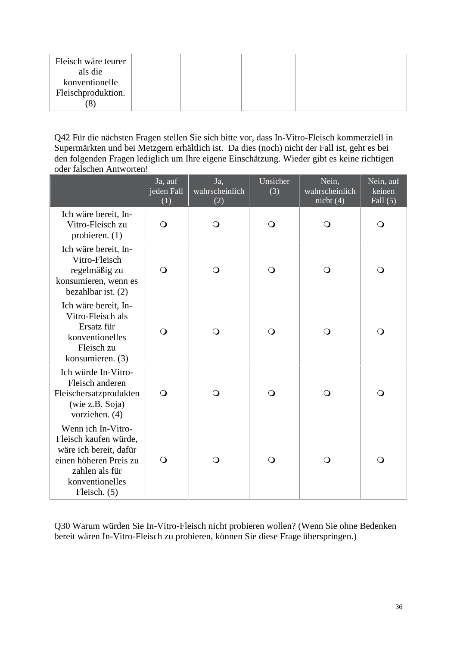| Fleisch wäre teurer<br>als die |  |  |  |
|--------------------------------|--|--|--|
| konventionelle                 |  |  |  |
| Fleischproduktion.             |  |  |  |
| ۰Ō                             |  |  |  |

Q42 Für die nächsten Fragen stellen Sie sich bitte vor, dass In-Vitro-Fleisch kommerziell in Supermärkten und bei Metzgern erhältlich ist. Da dies (noch) nicht der Fall ist, geht es bei den folgenden Fragen lediglich um Ihre eigene Einschätzung. Wieder gibt es keine richtigen oder falschen Antworten!

|                                                                                                                                                        | Ja, auf<br>jeden Fall<br>(1) | Ja,<br>wahrscheinlich<br>(2) | Unsicher<br>(3) | Nein,<br>wahrscheinlich<br>nicht $(4)$ | Nein, auf<br>keinen<br>Fall $(5)$ |
|--------------------------------------------------------------------------------------------------------------------------------------------------------|------------------------------|------------------------------|-----------------|----------------------------------------|-----------------------------------|
| Ich wäre bereit, In-<br>Vitro-Fleisch zu<br>probieren. (1)                                                                                             | $\bigcirc$                   | $\bigcirc$                   | $\bigcirc$      | $\bigcirc$                             | $\bigcirc$                        |
| Ich wäre bereit, In-<br>Vitro-Fleisch<br>regelmäßig zu<br>konsumieren, wenn es<br>bezahlbar ist. $(2)$                                                 | $\bigcirc$                   | $\bigcirc$                   | $\bigcirc$      | $\bigcirc$                             | $\bigcirc$                        |
| Ich wäre bereit, In-<br>Vitro-Fleisch als<br>Ersatz für<br>konventionelles<br>Fleisch zu<br>konsumieren. (3)                                           | $\bigcirc$                   | $\bigcirc$                   | $\bigcirc$      | $\bigcirc$                             | $\mathsf{O}$                      |
| Ich würde In-Vitro-<br>Fleisch anderen<br>Fleischersatzprodukten<br>(wie z.B. Soja)<br>vorziehen. (4)                                                  | $\bigcirc$                   | $\bigcirc$                   | $\bigcirc$      | $\bigcirc$                             | $\circ$                           |
| Wenn ich In-Vitro-<br>Fleisch kaufen würde,<br>wäre ich bereit, dafür<br>einen höheren Preis zu<br>zahlen als für<br>konventionelles<br>Fleisch. $(5)$ | $\bigcirc$                   | $\bigcirc$                   | $\bigcirc$      | $\bigcirc$                             | $\circ$                           |

Q30 Warum würden Sie In-Vitro-Fleisch nicht probieren wollen? (Wenn Sie ohne Bedenken bereit wären In-Vitro-Fleisch zu probieren, können Sie diese Frage überspringen.)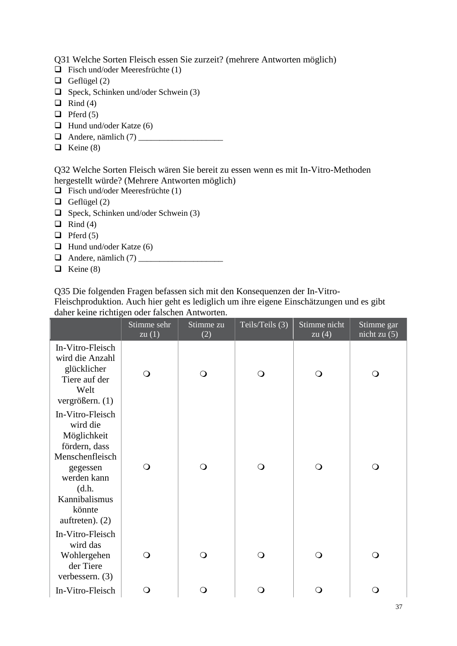Q31 Welche Sorten Fleisch essen Sie zurzeit? (mehrere Antworten möglich)

- $\Box$  Fisch und/oder Meeresfrüchte (1)
- Geflügel  $(2)$
- $\Box$  Speck, Schinken und/oder Schwein (3)
- $\Box$  Rind (4)
- $\Box$  Pferd (5)
- $\Box$  Hund und/oder Katze (6)
- Andere, nämlich (7) \_\_\_\_\_\_\_\_\_\_\_\_\_\_\_\_\_\_\_\_
- $\Box$  Keine (8)

Q32 Welche Sorten Fleisch wären Sie bereit zu essen wenn es mit In-Vitro-Methoden hergestellt würde? (Mehrere Antworten möglich)

- $\Box$  Fisch und/oder Meeresfrüchte (1)
- $\Box$  Geflügel (2)
- $\Box$  Speck, Schinken und/oder Schwein (3)
- $\Box$  Rind (4)
- $\Box$  Pferd (5)
- $\Box$  Hund und/oder Katze (6)
- $\Box$  Andere, nämlich (7)
- $\Box$  Keine (8)

Q35 Die folgenden Fragen befassen sich mit den Konsequenzen der In-Vitro-

Fleischproduktion. Auch hier geht es lediglich um ihre eigene Einschätzungen und es gibt daher keine richtigen oder falschen Antworten.

|                                                                                                                                                                     | Stimme sehr<br>zu $(1)$ | Stimme zu<br>(2) | Teils/Teils (3) | Stimme nicht<br>zu $(4)$ | Stimme gar<br>nicht zu $(5)$ |  |
|---------------------------------------------------------------------------------------------------------------------------------------------------------------------|-------------------------|------------------|-----------------|--------------------------|------------------------------|--|
| In-Vitro-Fleisch<br>wird die Anzahl<br>glücklicher<br>Tiere auf der<br>Welt<br>vergrößern. (1)                                                                      | $\bigcirc$              | $\bigcirc$       | $\bigcirc$      | $\bigcirc$               | $\bigcirc$                   |  |
| In-Vitro-Fleisch<br>wird die<br>Möglichkeit<br>fördern, dass<br>Menschenfleisch<br>gegessen<br>werden kann<br>(d.h.<br>Kannibalismus<br>könnte<br>auftreten). $(2)$ | $\bigcirc$              | $\bigcirc$       | $\bigcirc$      | $\bigcirc$               | $\bigcirc$                   |  |
| In-Vitro-Fleisch<br>wird das<br>Wohlergehen<br>der Tiere<br>verbessern. $(3)$                                                                                       | $\bigcirc$              | $\bigcirc$       | $\bigcirc$      | $\bigcirc$               | $\bigcirc$                   |  |
| In-Vitro-Fleisch                                                                                                                                                    | $\bigcirc$              | $\mathsf{O}$     | $\bigcirc$      | O                        | $\mathsf{O}$                 |  |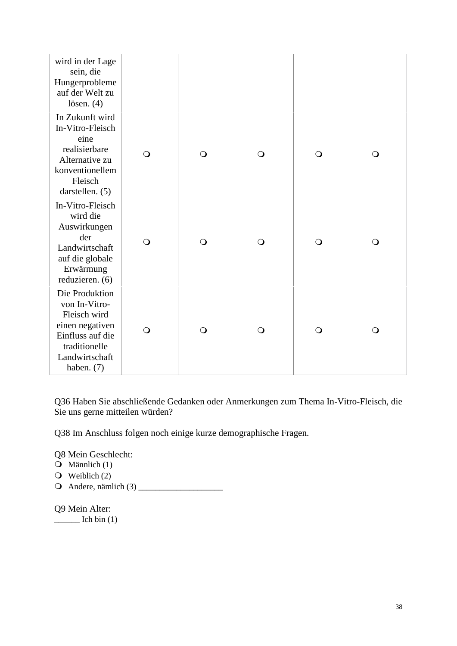| wird in der Lage<br>sein, die<br>Hungerprobleme<br>auf der Welt zu<br>lösen. $(4)$                                                        |            |            |            |            |            |  |
|-------------------------------------------------------------------------------------------------------------------------------------------|------------|------------|------------|------------|------------|--|
| In Zukunft wird<br>In-Vitro-Fleisch<br>eine<br>realisierbare<br>Alternative zu<br>konventionellem<br>Fleisch<br>darstellen. (5)           | $\bigcirc$ | $\bigcirc$ | $\bigcirc$ | $\bigcirc$ | $\bigcirc$ |  |
| In-Vitro-Fleisch<br>wird die<br>Auswirkungen<br>der<br>Landwirtschaft<br>auf die globale<br>Erwärmung<br>reduzieren. (6)                  | $\bigcirc$ | $\bigcirc$ | $\bigcirc$ | $\bigcirc$ | $\bigcirc$ |  |
| Die Produktion<br>von In-Vitro-<br>Fleisch wird<br>einen negativen<br>Einfluss auf die<br>traditionelle<br>Landwirtschaft<br>haben. $(7)$ | $\bigcirc$ | $\bigcirc$ | $\bigcirc$ | $\bigcirc$ | $\bigcirc$ |  |

Q36 Haben Sie abschließende Gedanken oder Anmerkungen zum Thema In-Vitro-Fleisch, die Sie uns gerne mitteilen würden?

Q38 Im Anschluss folgen noch einige kurze demographische Fragen.

Q8 Mein Geschlecht:

- $\overline{Q}$  Männlich (1)
- Weiblich (2)
- Andere, nämlich (3) \_\_\_\_\_\_\_\_\_\_\_\_\_\_\_\_\_\_\_\_

Q9 Mein Alter:  $\frac{1}{\sqrt{2}}$  Ich bin (1)